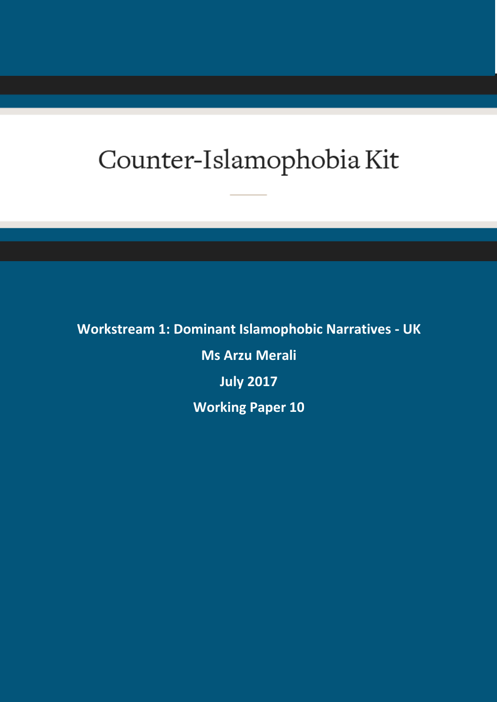# Counter-Islamophobia Kit

**Workstream 1: Dominant Islamophobic Narratives - UK Ms Arzu Merali July 2017 Working Paper 10**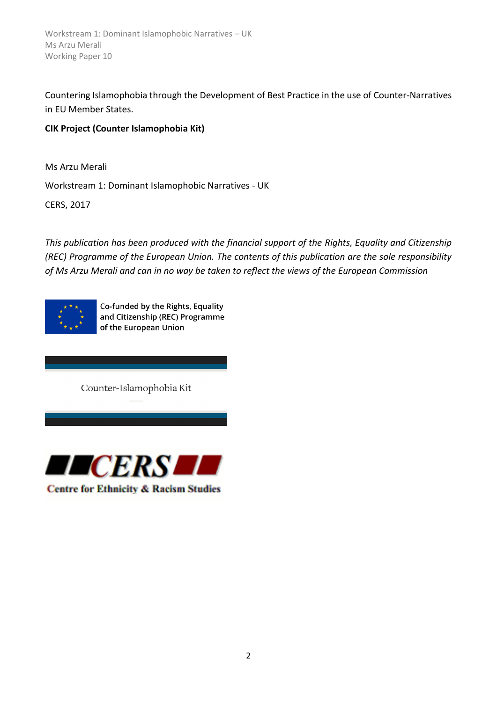Countering Islamophobia through the Development of Best Practice in the use of Counter-Narratives in EU Member States.

# **CIK Project (Counter Islamophobia Kit)**

Ms Arzu Merali Workstream 1: Dominant Islamophobic Narratives - UK

CERS, 2017

*This publication has been produced with the financial support of the Rights, Equality and Citizenship (REC) Programme of the European Union. The contents of this publication are the sole responsibility of Ms Arzu Merali and can in no way be taken to reflect the views of the European Commission*



Co-funded by the Rights, Equality and Citizenship (REC) Programme of the European Union

Counter-Islamophobia Kit



**Centre for Ethnicity & Racism Studies**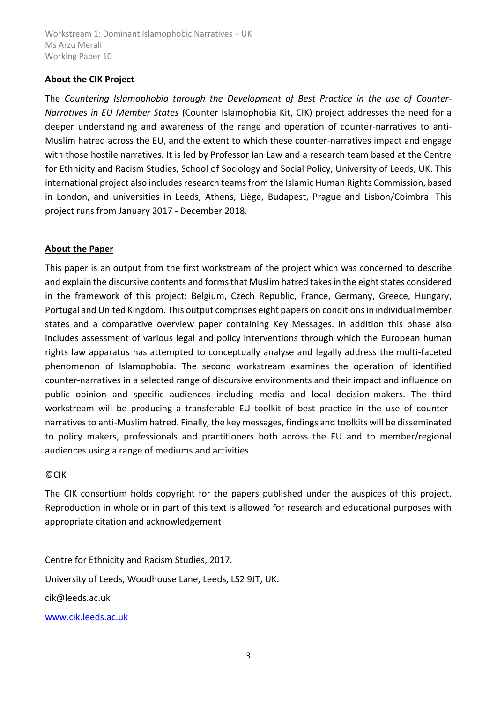#### **About the CIK Project**

The *Countering Islamophobia through the Development of Best Practice in the use of Counter-Narratives in EU Member States* (Counter Islamophobia Kit, CIK) project addresses the need for a deeper understanding and awareness of the range and operation of counter-narratives to anti-Muslim hatred across the EU, and the extent to which these counter-narratives impact and engage with those hostile narratives. It is led by Professor Ian Law and a research team based at the Centre for Ethnicity and Racism Studies, School of Sociology and Social Policy, University of Leeds, UK. This international project also includes research teams from the Islamic Human Rights Commission, based in London, and universities in Leeds, Athens, Liège, Budapest, Prague and Lisbon/Coimbra. This project runs from January 2017 - December 2018.

#### **About the Paper**

This paper is an output from the first workstream of the project which was concerned to describe and explain the discursive contents and forms that Muslim hatred takes in the eight states considered in the framework of this project: Belgium, Czech Republic, France, Germany, Greece, Hungary, Portugal and United Kingdom. This output comprises eight papers on conditions in individual member states and a comparative overview paper containing Key Messages. In addition this phase also includes assessment of various legal and policy interventions through which the European human rights law apparatus has attempted to conceptually analyse and legally address the multi-faceted phenomenon of Islamophobia. The second workstream examines the operation of identified counter-narratives in a selected range of discursive environments and their impact and influence on public opinion and specific audiences including media and local decision-makers. The third workstream will be producing a transferable EU toolkit of best practice in the use of counternarratives to anti-Muslim hatred. Finally, the key messages, findings and toolkits will be disseminated to policy makers, professionals and practitioners both across the EU and to member/regional audiences using a range of mediums and activities.

#### ©CIK

The CIK consortium holds copyright for the papers published under the auspices of this project. Reproduction in whole or in part of this text is allowed for research and educational purposes with appropriate citation and acknowledgement

Centre for Ethnicity and Racism Studies, 2017. University of Leeds, Woodhouse Lane, Leeds, LS2 9JT, UK. cik@leeds.ac.uk [www.cik.leeds.ac.uk](http://www.cik.leeds.ac.uk/)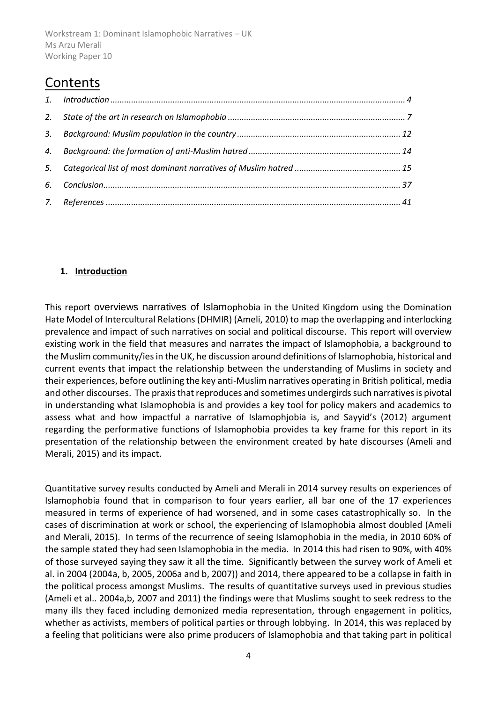# Contents

# <span id="page-3-0"></span>**1. Introduction**

This report overviews narratives of Islamophobia in the United Kingdom using the Domination Hate Model of Intercultural Relations (DHMIR) (Ameli, 2010) to map the overlapping and interlocking prevalence and impact of such narratives on social and political discourse. This report will overview existing work in the field that measures and narrates the impact of Islamophobia, a background to the Muslim community/ies in the UK, he discussion around definitions of Islamophobia, historical and current events that impact the relationship between the understanding of Muslims in society and their experiences, before outlining the key anti-Muslim narratives operating in British political, media and other discourses. The praxis that reproduces and sometimes undergirds such narratives is pivotal in understanding what Islamophobia is and provides a key tool for policy makers and academics to assess what and how impactful a narrative of Islamophjobia is, and Sayyid's (2012) argument regarding the performative functions of Islamophobia provides ta key frame for this report in its presentation of the relationship between the environment created by hate discourses (Ameli and Merali, 2015) and its impact.

Quantitative survey results conducted by Ameli and Merali in 2014 survey results on experiences of Islamophobia found that in comparison to four years earlier, all bar one of the 17 experiences measured in terms of experience of had worsened, and in some cases catastrophically so. In the cases of discrimination at work or school, the experiencing of Islamophobia almost doubled (Ameli and Merali, 2015). In terms of the recurrence of seeing Islamophobia in the media, in 2010 60% of the sample stated they had seen Islamophobia in the media. In 2014 this had risen to 90%, with 40% of those surveyed saying they saw it all the time. Significantly between the survey work of Ameli et al. in 2004 (2004a, b, 2005, 2006a and b, 2007)) and 2014, there appeared to be a collapse in faith in the political process amongst Muslims. The results of quantitative surveys used in previous studies (Ameli et al.. 2004a,b, 2007 and 2011) the findings were that Muslims sought to seek redress to the many ills they faced including demonized media representation, through engagement in politics, whether as activists, members of political parties or through lobbying. In 2014, this was replaced by a feeling that politicians were also prime producers of Islamophobia and that taking part in political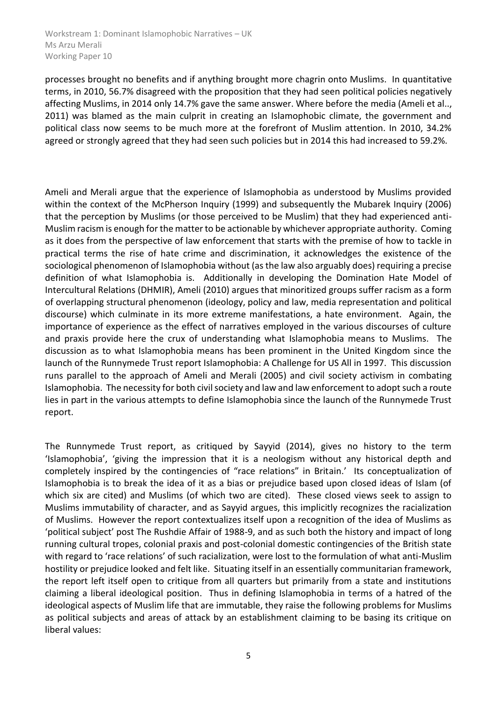processes brought no benefits and if anything brought more chagrin onto Muslims. In quantitative terms, in 2010, 56.7% disagreed with the proposition that they had seen political policies negatively affecting Muslims, in 2014 only 14.7% gave the same answer. Where before the media (Ameli et al.., 2011) was blamed as the main culprit in creating an Islamophobic climate, the government and political class now seems to be much more at the forefront of Muslim attention. In 2010, 34.2% agreed or strongly agreed that they had seen such policies but in 2014 this had increased to 59.2%.

Ameli and Merali argue that the experience of Islamophobia as understood by Muslims provided within the context of the McPherson Inquiry (1999) and subsequently the Mubarek Inquiry (2006) that the perception by Muslims (or those perceived to be Muslim) that they had experienced anti-Muslim racism is enough for the matter to be actionable by whichever appropriate authority. Coming as it does from the perspective of law enforcement that starts with the premise of how to tackle in practical terms the rise of hate crime and discrimination, it acknowledges the existence of the sociological phenomenon of Islamophobia without (as the law also arguably does) requiring a precise definition of what Islamophobia is. Additionally in developing the Domination Hate Model of Intercultural Relations (DHMIR), Ameli (2010) argues that minoritized groups suffer racism as a form of overlapping structural phenomenon (ideology, policy and law, media representation and political discourse) which culminate in its more extreme manifestations, a hate environment. Again, the importance of experience as the effect of narratives employed in the various discourses of culture and praxis provide here the crux of understanding what Islamophobia means to Muslims. The discussion as to what Islamophobia means has been prominent in the United Kingdom since the launch of the Runnymede Trust report Islamophobia: A Challenge for US All in 1997. This discussion runs parallel to the approach of Ameli and Merali (2005) and civil society activism in combating Islamophobia. The necessity for both civil society and law and law enforcement to adopt such a route lies in part in the various attempts to define Islamophobia since the launch of the Runnymede Trust report.

The Runnymede Trust report, as critiqued by Sayyid (2014), gives no history to the term 'Islamophobia', 'giving the impression that it is a neologism without any historical depth and completely inspired by the contingencies of "race relations" in Britain.' Its conceptualization of Islamophobia is to break the idea of it as a bias or prejudice based upon closed ideas of Islam (of which six are cited) and Muslims (of which two are cited). These closed views seek to assign to Muslims immutability of character, and as Sayyid argues, this implicitly recognizes the racialization of Muslims. However the report contextualizes itself upon a recognition of the idea of Muslims as 'political subject' post The Rushdie Affair of 1988-9, and as such both the history and impact of long running cultural tropes, colonial praxis and post-colonial domestic contingencies of the British state with regard to 'race relations' of such racialization, were lost to the formulation of what anti-Muslim hostility or prejudice looked and felt like. Situating itself in an essentially communitarian framework, the report left itself open to critique from all quarters but primarily from a state and institutions claiming a liberal ideological position. Thus in defining Islamophobia in terms of a hatred of the ideological aspects of Muslim life that are immutable, they raise the following problems for Muslims as political subjects and areas of attack by an establishment claiming to be basing its critique on liberal values: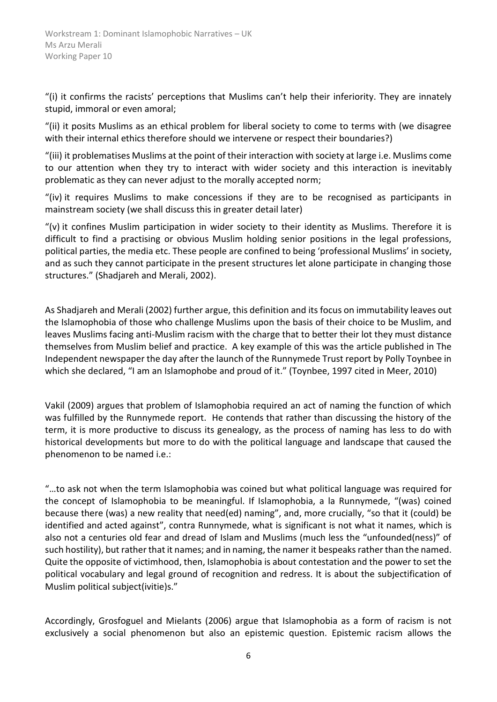"(i) it confirms the racists' perceptions that Muslims can't help their inferiority. They are innately stupid, immoral or even amoral;

"(ii) it posits Muslims as an ethical problem for liberal society to come to terms with (we disagree with their internal ethics therefore should we intervene or respect their boundaries?)

"(iii) it problematises Muslims at the point of their interaction with society at large i.e. Muslims come to our attention when they try to interact with wider society and this interaction is inevitably problematic as they can never adjust to the morally accepted norm;

"(iv) it requires Muslims to make concessions if they are to be recognised as participants in mainstream society (we shall discuss this in greater detail later)

"(v) it confines Muslim participation in wider society to their identity as Muslims. Therefore it is difficult to find a practising or obvious Muslim holding senior positions in the legal professions, political parties, the media etc. These people are confined to being 'professional Muslims' in society, and as such they cannot participate in the present structures let alone participate in changing those structures." (Shadjareh and Merali, 2002).

As Shadjareh and Merali (2002) further argue, this definition and its focus on immutability leaves out the Islamophobia of those who challenge Muslims upon the basis of their choice to be Muslim, and leaves Muslims facing anti-Muslim racism with the charge that to better their lot they must distance themselves from Muslim belief and practice. A key example of this was the article published in The Independent newspaper the day after the launch of the Runnymede Trust report by Polly Toynbee in which she declared, "I am an Islamophobe and proud of it." (Toynbee, 1997 cited in Meer, 2010)

Vakil (2009) argues that problem of Islamophobia required an act of naming the function of which was fulfilled by the Runnymede report. He contends that rather than discussing the history of the term, it is more productive to discuss its genealogy, as the process of naming has less to do with historical developments but more to do with the political language and landscape that caused the phenomenon to be named i.e.:

"…to ask not when the term Islamophobia was coined but what political language was required for the concept of Islamophobia to be meaningful. If Islamophobia, a la Runnymede, "(was) coined because there (was) a new reality that need(ed) naming", and, more crucially, "so that it (could) be identified and acted against", contra Runnymede, what is significant is not what it names, which is also not a centuries old fear and dread of Islam and Muslims (much less the "unfounded(ness)" of such hostility), but rather that it names; and in naming, the namer it bespeaks rather than the named. Quite the opposite of victimhood, then, Islamophobia is about contestation and the power to set the political vocabulary and legal ground of recognition and redress. It is about the subjectification of Muslim political subject(ivitie)s."

Accordingly, Grosfoguel and Mielants (2006) argue that Islamophobia as a form of racism is not exclusively a social phenomenon but also an epistemic question. Epistemic racism allows the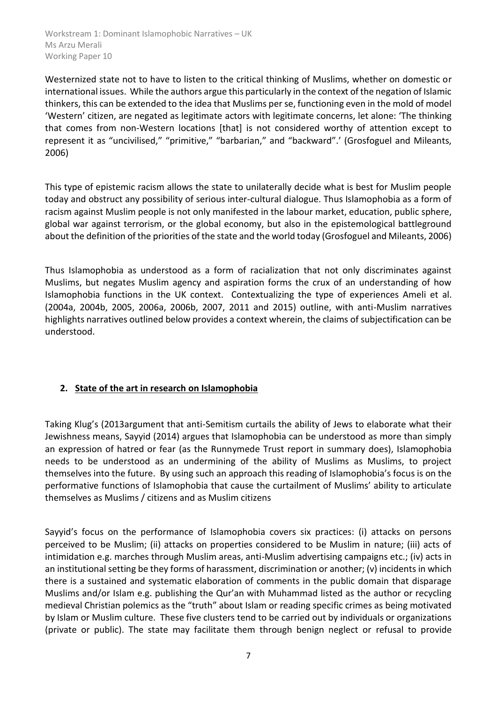Westernized state not to have to listen to the critical thinking of Muslims, whether on domestic or international issues. While the authors argue this particularly in the context of the negation of Islamic thinkers, this can be extended to the idea that Muslims per se, functioning even in the mold of model 'Western' citizen, are negated as legitimate actors with legitimate concerns, let alone: 'The thinking that comes from non-Western locations [that] is not considered worthy of attention except to represent it as "uncivilised," "primitive," "barbarian," and "backward".' (Grosfoguel and Mileants, 2006)

This type of epistemic racism allows the state to unilaterally decide what is best for Muslim people today and obstruct any possibility of serious inter-cultural dialogue. Thus Islamophobia as a form of racism against Muslim people is not only manifested in the labour market, education, public sphere, global war against terrorism, or the global economy, but also in the epistemological battleground about the definition of the priorities of the state and the world today (Grosfoguel and Mileants, 2006)

Thus Islamophobia as understood as a form of racialization that not only discriminates against Muslims, but negates Muslim agency and aspiration forms the crux of an understanding of how Islamophobia functions in the UK context. Contextualizing the type of experiences Ameli et al. (2004a, 2004b, 2005, 2006a, 2006b, 2007, 2011 and 2015) outline, with anti-Muslim narratives highlights narratives outlined below provides a context wherein, the claims of subjectification can be understood.

# <span id="page-6-0"></span>**2. State of the art in research on Islamophobia**

Taking Klug's (2013argument that anti-Semitism curtails the ability of Jews to elaborate what their Jewishness means, Sayyid (2014) argues that Islamophobia can be understood as more than simply an expression of hatred or fear (as the Runnymede Trust report in summary does), Islamophobia needs to be understood as an undermining of the ability of Muslims as Muslims, to project themselves into the future. By using such an approach this reading of Islamophobia's focus is on the performative functions of Islamophobia that cause the curtailment of Muslims' ability to articulate themselves as Muslims / citizens and as Muslim citizens

Sayyid's focus on the performance of Islamophobia covers six practices: (i) attacks on persons perceived to be Muslim; (ii) attacks on properties considered to be Muslim in nature; (iii) acts of intimidation e.g. marches through Muslim areas, anti-Muslim advertising campaigns etc.; (iv) acts in an institutional setting be they forms of harassment, discrimination or another; (v) incidents in which there is a sustained and systematic elaboration of comments in the public domain that disparage Muslims and/or Islam e.g. publishing the Qur'an with Muhammad listed as the author or recycling medieval Christian polemics as the "truth" about Islam or reading specific crimes as being motivated by Islam or Muslim culture. These five clusters tend to be carried out by individuals or organizations (private or public). The state may facilitate them through benign neglect or refusal to provide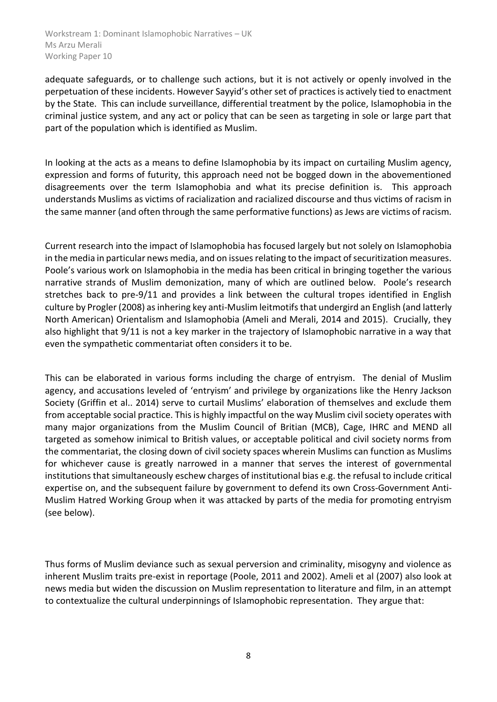adequate safeguards, or to challenge such actions, but it is not actively or openly involved in the perpetuation of these incidents. However Sayyid's other set of practices is actively tied to enactment by the State. This can include surveillance, differential treatment by the police, Islamophobia in the criminal justice system, and any act or policy that can be seen as targeting in sole or large part that part of the population which is identified as Muslim.

In looking at the acts as a means to define Islamophobia by its impact on curtailing Muslim agency, expression and forms of futurity, this approach need not be bogged down in the abovementioned disagreements over the term Islamophobia and what its precise definition is. This approach understands Muslims as victims of racialization and racialized discourse and thus victims of racism in the same manner (and often through the same performative functions) as Jews are victims of racism.

Current research into the impact of Islamophobia has focused largely but not solely on Islamophobia in the media in particular news media, and on issues relating to the impact of securitization measures. Poole's various work on Islamophobia in the media has been critical in bringing together the various narrative strands of Muslim demonization, many of which are outlined below. Poole's research stretches back to pre-9/11 and provides a link between the cultural tropes identified in English culture by Progler (2008) as inhering key anti-Muslim leitmotifs that undergird an English (and latterly North American) Orientalism and Islamophobia (Ameli and Merali, 2014 and 2015). Crucially, they also highlight that 9/11 is not a key marker in the trajectory of Islamophobic narrative in a way that even the sympathetic commentariat often considers it to be.

This can be elaborated in various forms including the charge of entryism. The denial of Muslim agency, and accusations leveled of 'entryism' and privilege by organizations like the Henry Jackson Society (Griffin et al.. 2014) serve to curtail Muslims' elaboration of themselves and exclude them from acceptable social practice. This is highly impactful on the way Muslim civil society operates with many major organizations from the Muslim Council of Britian (MCB), Cage, IHRC and MEND all targeted as somehow inimical to British values, or acceptable political and civil society norms from the commentariat, the closing down of civil society spaces wherein Muslims can function as Muslims for whichever cause is greatly narrowed in a manner that serves the interest of governmental institutions that simultaneously eschew charges of institutional bias e.g. the refusal to include critical expertise on, and the subsequent failure by government to defend its own Cross-Government Anti-Muslim Hatred Working Group when it was attacked by parts of the media for promoting entryism (see below).

Thus forms of Muslim deviance such as sexual perversion and criminality, misogyny and violence as inherent Muslim traits pre-exist in reportage (Poole, 2011 and 2002). Ameli et al (2007) also look at news media but widen the discussion on Muslim representation to literature and film, in an attempt to contextualize the cultural underpinnings of Islamophobic representation. They argue that: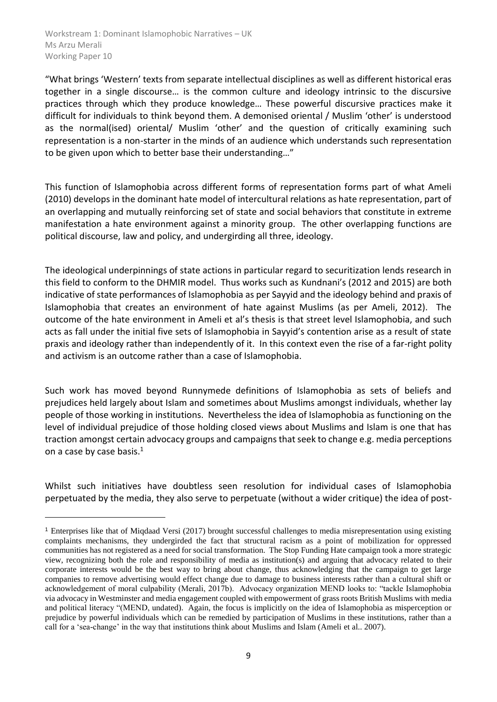-

"What brings 'Western' texts from separate intellectual disciplines as well as different historical eras together in a single discourse… is the common culture and ideology intrinsic to the discursive practices through which they produce knowledge… These powerful discursive practices make it difficult for individuals to think beyond them. A demonised oriental / Muslim 'other' is understood as the normal(ised) oriental/ Muslim 'other' and the question of critically examining such representation is a non-starter in the minds of an audience which understands such representation to be given upon which to better base their understanding…"

This function of Islamophobia across different forms of representation forms part of what Ameli (2010) develops in the dominant hate model of intercultural relations as hate representation, part of an overlapping and mutually reinforcing set of state and social behaviors that constitute in extreme manifestation a hate environment against a minority group. The other overlapping functions are political discourse, law and policy, and undergirding all three, ideology.

The ideological underpinnings of state actions in particular regard to securitization lends research in this field to conform to the DHMIR model. Thus works such as Kundnani's (2012 and 2015) are both indicative of state performances of Islamophobia as per Sayyid and the ideology behind and praxis of Islamophobia that creates an environment of hate against Muslims (as per Ameli, 2012). The outcome of the hate environment in Ameli et al's thesis is that street level Islamophobia, and such acts as fall under the initial five sets of Islamophobia in Sayyid's contention arise as a result of state praxis and ideology rather than independently of it. In this context even the rise of a far-right polity and activism is an outcome rather than a case of Islamophobia.

Such work has moved beyond Runnymede definitions of Islamophobia as sets of beliefs and prejudices held largely about Islam and sometimes about Muslims amongst individuals, whether lay people of those working in institutions. Nevertheless the idea of Islamophobia as functioning on the level of individual prejudice of those holding closed views about Muslims and Islam is one that has traction amongst certain advocacy groups and campaigns that seek to change e.g. media perceptions on a case by case basis.<sup>1</sup>

Whilst such initiatives have doubtless seen resolution for individual cases of Islamophobia perpetuated by the media, they also serve to perpetuate (without a wider critique) the idea of post-

<sup>1</sup> Enterprises like that of Miqdaad Versi (2017) brought successful challenges to media misrepresentation using existing complaints mechanisms, they undergirded the fact that structural racism as a point of mobilization for oppressed communities has not registered as a need for social transformation. The Stop Funding Hate campaign took a more strategic view, recognizing both the role and responsibility of media as institution(s) and arguing that advocacy related to their corporate interests would be the best way to bring about change, thus acknowledging that the campaign to get large companies to remove advertising would effect change due to damage to business interests rather than a cultural shift or acknowledgement of moral culpability (Merali, 2017b). Advocacy organization MEND looks to: "tackle Islamophobia via advocacy in Westminster and media engagement coupled with empowerment of grass roots British Muslims with media and political literacy "(MEND, undated). Again, the focus is implicitly on the idea of Islamophobia as misperception or prejudice by powerful individuals which can be remedied by participation of Muslims in these institutions, rather than a call for a 'sea-change' in the way that institutions think about Muslims and Islam (Ameli et al.. 2007).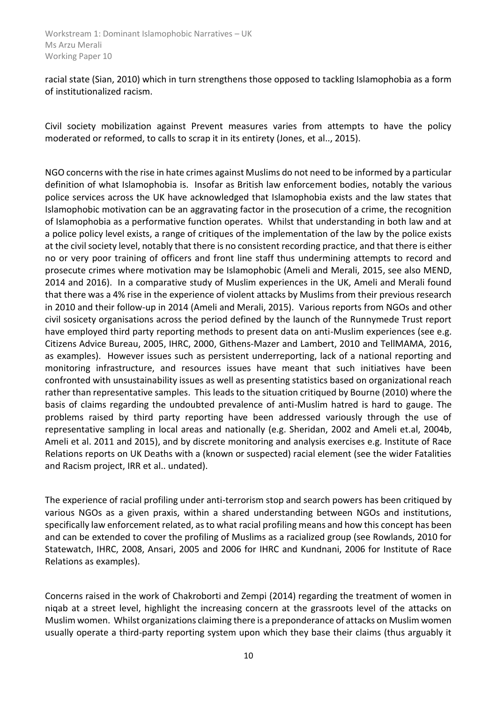racial state (Sian, 2010) which in turn strengthens those opposed to tackling Islamophobia as a form of institutionalized racism.

Civil society mobilization against Prevent measures varies from attempts to have the policy moderated or reformed, to calls to scrap it in its entirety (Jones, et al.., 2015).

NGO concerns with the rise in hate crimes against Muslims do not need to be informed by a particular definition of what Islamophobia is. Insofar as British law enforcement bodies, notably the various police services across the UK have acknowledged that Islamophobia exists and the law states that Islamophobic motivation can be an aggravating factor in the prosecution of a crime, the recognition of Islamophobia as a performative function operates. Whilst that understanding in both law and at a police policy level exists, a range of critiques of the implementation of the law by the police exists at the civil society level, notably that there is no consistent recording practice, and that there is either no or very poor training of officers and front line staff thus undermining attempts to record and prosecute crimes where motivation may be Islamophobic (Ameli and Merali, 2015, see also MEND, 2014 and 2016). In a comparative study of Muslim experiences in the UK, Ameli and Merali found that there was a 4% rise in the experience of violent attacks by Muslims from their previous research in 2010 and their follow-up in 2014 (Ameli and Merali, 2015). Various reports from NGOs and other civil sosicety organisations across the period defined by the launch of the Runnymede Trust report have employed third party reporting methods to present data on anti-Muslim experiences (see e.g. Citizens Advice Bureau, 2005, IHRC, 2000, Githens-Mazer and Lambert, 2010 and TellMAMA, 2016, as examples). However issues such as persistent underreporting, lack of a national reporting and monitoring infrastructure, and resources issues have meant that such initiatives have been confronted with unsustainability issues as well as presenting statistics based on organizational reach rather than representative samples. This leads to the situation critiqued by Bourne (2010) where the basis of claims regarding the undoubted prevalence of anti-Muslim hatred is hard to gauge. The problems raised by third party reporting have been addressed variously through the use of representative sampling in local areas and nationally (e.g. Sheridan, 2002 and Ameli et.al, 2004b, Ameli et al. 2011 and 2015), and by discrete monitoring and analysis exercises e.g. Institute of Race Relations reports on UK Deaths with a (known or suspected) racial element (see the wider Fatalities and Racism project, IRR et al.. undated).

The experience of racial profiling under anti-terrorism stop and search powers has been critiqued by various NGOs as a given praxis, within a shared understanding between NGOs and institutions, specifically law enforcement related, as to what racial profiling means and how this concept has been and can be extended to cover the profiling of Muslims as a racialized group (see Rowlands, 2010 for Statewatch, IHRC, 2008, Ansari, 2005 and 2006 for IHRC and Kundnani, 2006 for Institute of Race Relations as examples).

Concerns raised in the work of Chakroborti and Zempi (2014) regarding the treatment of women in niqab at a street level, highlight the increasing concern at the grassroots level of the attacks on Muslim women. Whilst organizations claiming there is a preponderance of attacks on Muslim women usually operate a third-party reporting system upon which they base their claims (thus arguably it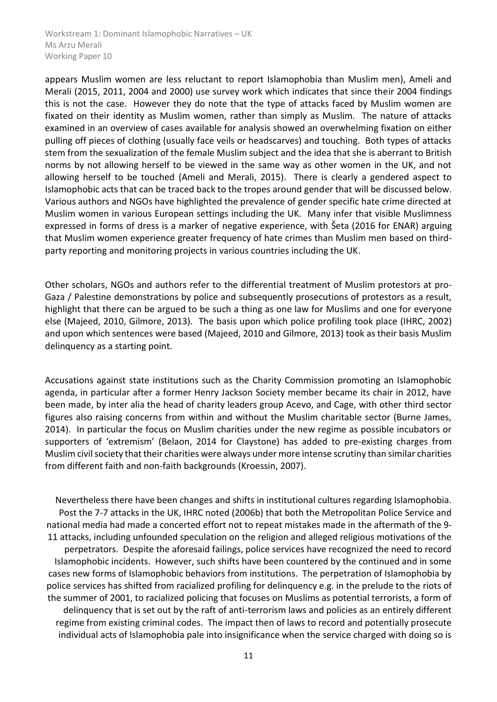appears Muslim women are less reluctant to report Islamophobia than Muslim men), Ameli and Merali (2015, 2011, 2004 and 2000) use survey work which indicates that since their 2004 findings this is not the case. However they do note that the type of attacks faced by Muslim women are fixated on their identity as Muslim women, rather than simply as Muslim. The nature of attacks examined in an overview of cases available for analysis showed an overwhelming fixation on either pulling off pieces of clothing (usually face veils or headscarves) and touching. Both types of attacks stem from the sexualization of the female Muslim subject and the idea that she is aberrant to British norms by not allowing herself to be viewed in the same way as other women in the UK, and not allowing herself to be touched (Ameli and Merali, 2015). There is clearly a gendered aspect to Islamophobic acts that can be traced back to the tropes around gender that will be discussed below. Various authors and NGOs have highlighted the prevalence of gender specific hate crime directed at Muslim women in various European settings including the UK. Many infer that visible Muslimness expressed in forms of dress is a marker of negative experience, with Šeta (2016 for ENAR) arguing that Muslim women experience greater frequency of hate crimes than Muslim men based on thirdparty reporting and monitoring projects in various countries including the UK.

Other scholars, NGOs and authors refer to the differential treatment of Muslim protestors at pro-Gaza / Palestine demonstrations by police and subsequently prosecutions of protestors as a result, highlight that there can be argued to be such a thing as one law for Muslims and one for everyone else (Majeed, 2010, Gilmore, 2013). The basis upon which police profiling took place (IHRC, 2002) and upon which sentences were based (Majeed, 2010 and Gilmore, 2013) took as their basis Muslim delinquency as a starting point.

Accusations against state institutions such as the Charity Commission promoting an Islamophobic agenda, in particular after a former Henry Jackson Society member became its chair in 2012, have been made, by inter alia the head of charity leaders group Acevo, and Cage, with other third sector figures also raising concerns from within and without the Muslim charitable sector (Burne James, 2014). In particular the focus on Muslim charities under the new regime as possible incubators or supporters of 'extremism' (Belaon, 2014 for Claystone) has added to pre-existing charges from Muslim civil society that their charities were always under more intense scrutiny than similar charities from different faith and non-faith backgrounds (Kroessin, 2007).

Nevertheless there have been changes and shifts in institutional cultures regarding Islamophobia. Post the 7-7 attacks in the UK, IHRC noted (2006b) that both the Metropolitan Police Service and national media had made a concerted effort not to repeat mistakes made in the aftermath of the 9- 11 attacks, including unfounded speculation on the religion and alleged religious motivations of the perpetrators. Despite the aforesaid failings, police services have recognized the need to record Islamophobic incidents. However, such shifts have been countered by the continued and in some cases new forms of Islamophobic behaviors from institutions. The perpetration of Islamophobia by police services has shifted from racialized profiling for delinquency e.g. in the prelude to the riots of the summer of 2001, to racialized policing that focuses on Muslims as potential terrorists, a form of delinquency that is set out by the raft of anti-terrorism laws and policies as an entirely different regime from existing criminal codes. The impact then of laws to record and potentially prosecute individual acts of Islamophobia pale into insignificance when the service charged with doing so is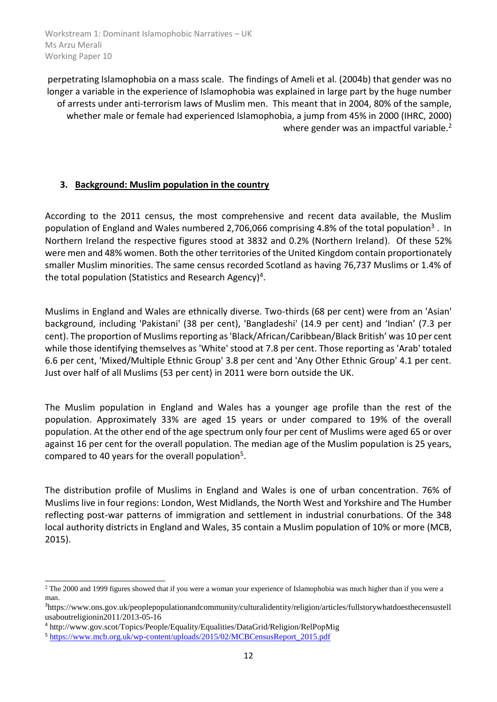perpetrating Islamophobia on a mass scale. The findings of Ameli et al. (2004b) that gender was no longer a variable in the experience of Islamophobia was explained in large part by the huge number of arrests under anti-terrorism laws of Muslim men. This meant that in 2004, 80% of the sample, whether male or female had experienced Islamophobia, a jump from 45% in 2000 (IHRC, 2000) where gender was an impactful variable.<sup>2</sup>

# <span id="page-11-0"></span>**3. Background: Muslim population in the country**

According to the 2011 census, the most comprehensive and recent data available, the Muslim population of England and Wales numbered 2,706,066 comprising 4.8% of the total population<sup>3</sup>. In Northern Ireland the respective figures stood at 3832 and 0.2% (Northern Ireland). Of these 52% were men and 48% women. Both the other territories of the United Kingdom contain proportionately smaller Muslim minorities. The same census recorded Scotland as having 76,737 Muslims or 1.4% of the total population (Statistics and Research Agency)<sup>4</sup>.

Muslims in England and Wales are ethnically diverse. Two-thirds (68 per cent) were from an 'Asian' background, including 'Pakistani' (38 per cent), 'Bangladeshi' (14.9 per cent) and 'Indian' (7.3 per cent). The proportion of Muslims reporting as 'Black/African/Caribbean/Black British' was 10 per cent while those identifying themselves as 'White' stood at 7.8 per cent. Those reporting as 'Arab' totaled 6.6 per cent, 'Mixed/Multiple Ethnic Group' 3.8 per cent and 'Any Other Ethnic Group' 4.1 per cent. Just over half of all Muslims (53 per cent) in 2011 were born outside the UK.

The Muslim population in England and Wales has a younger age profile than the rest of the population. Approximately 33% are aged 15 years or under compared to 19% of the overall population. At the other end of the age spectrum only four per cent of Muslims were aged 65 or over against 16 per cent for the overall population. The median age of the Muslim population is 25 years, compared to 40 years for the overall population<sup>5</sup>.

The distribution profile of Muslims in England and Wales is one of urban concentration. 76% of Muslims live in four regions: London, West Midlands, the North West and Yorkshire and The Humber reflecting post-war patterns of immigration and settlement in industrial conurbations. Of the 348 local authority districts in England and Wales, 35 contain a Muslim population of 10% or more (MCB, 2015).

-

<sup>&</sup>lt;sup>2</sup> The 2000 and 1999 figures showed that if you were a woman your experience of Islamophobia was much higher than if you were a man.

<sup>3</sup>https://www.ons.gov.uk/peoplepopulationandcommunity/culturalidentity/religion/articles/fullstorywhatdoesthecensustell usaboutreligionin2011/2013-05-16

<sup>4</sup> http://www.gov.scot/Topics/People/Equality/Equalities/DataGrid/Religion/RelPopMig

<sup>5</sup> [https://www.mcb.org.uk/wp-content/uploads/2015/02/MCBCensusReport\\_2015.pdf](https://www.mcb.org.uk/wp-content/uploads/2015/02/MCBCensusReport_2015.pdf)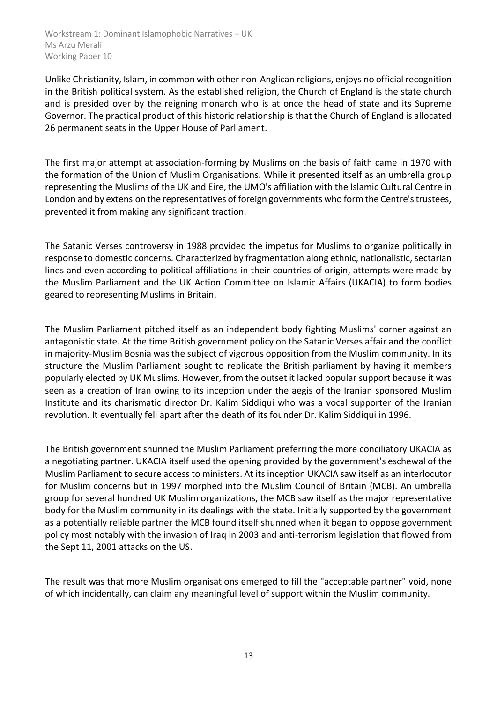Unlike Christianity, Islam, in common with other non-Anglican religions, enjoys no official recognition in the British political system. As the established religion, the Church of England is the state church and is presided over by the reigning monarch who is at once the head of state and its Supreme Governor. The practical product of this historic relationship is that the Church of England is allocated 26 permanent seats in the Upper House of Parliament.

The first major attempt at association-forming by Muslims on the basis of faith came in 1970 with the formation of the Union of Muslim Organisations. While it presented itself as an umbrella group representing the Muslims of the UK and Eire, the UMO's affiliation with the Islamic Cultural Centre in London and by extension the representatives of foreign governments who form the Centre's trustees, prevented it from making any significant traction.

The Satanic Verses controversy in 1988 provided the impetus for Muslims to organize politically in response to domestic concerns. Characterized by fragmentation along ethnic, nationalistic, sectarian lines and even according to political affiliations in their countries of origin, attempts were made by the Muslim Parliament and the UK Action Committee on Islamic Affairs (UKACIA) to form bodies geared to representing Muslims in Britain.

The Muslim Parliament pitched itself as an independent body fighting Muslims' corner against an antagonistic state. At the time British government policy on the Satanic Verses affair and the conflict in majority-Muslim Bosnia was the subject of vigorous opposition from the Muslim community. In its structure the Muslim Parliament sought to replicate the British parliament by having it members popularly elected by UK Muslims. However, from the outset it lacked popular support because it was seen as a creation of Iran owing to its inception under the aegis of the Iranian sponsored Muslim Institute and its charismatic director Dr. Kalim Siddiqui who was a vocal supporter of the Iranian revolution. It eventually fell apart after the death of its founder Dr. Kalim Siddiqui in 1996.

The British government shunned the Muslim Parliament preferring the more conciliatory UKACIA as a negotiating partner. UKACIA itself used the opening provided by the government's eschewal of the Muslim Parliament to secure access to ministers. At its inception UKACIA saw itself as an interlocutor for Muslim concerns but in 1997 morphed into the Muslim Council of Britain (MCB). An umbrella group for several hundred UK Muslim organizations, the MCB saw itself as the major representative body for the Muslim community in its dealings with the state. Initially supported by the government as a potentially reliable partner the MCB found itself shunned when it began to oppose government policy most notably with the invasion of Iraq in 2003 and anti-terrorism legislation that flowed from the Sept 11, 2001 attacks on the US.

The result was that more Muslim organisations emerged to fill the "acceptable partner" void, none of which incidentally, can claim any meaningful level of support within the Muslim community.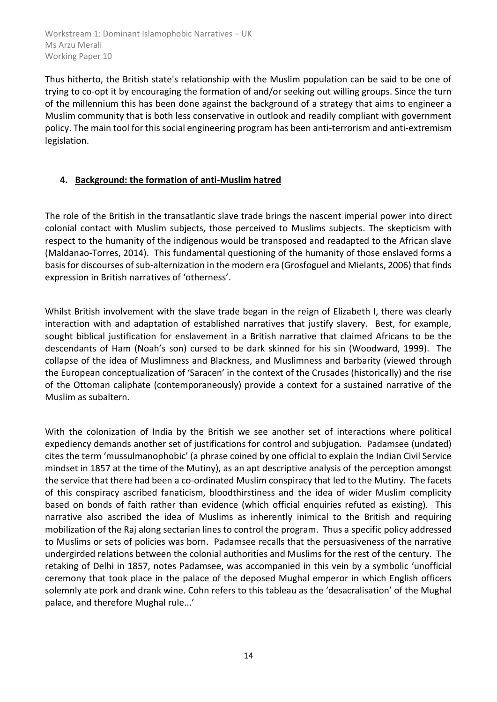Thus hitherto, the British state's relationship with the Muslim population can be said to be one of trying to co-opt it by encouraging the formation of and/or seeking out willing groups. Since the turn of the millennium this has been done against the background of a strategy that aims to engineer a Muslim community that is both less conservative in outlook and readily compliant with government policy. The main tool for this social engineering program has been anti-terrorism and anti-extremism legislation.

#### <span id="page-13-0"></span>**4. Background: the formation of anti-Muslim hatred**

The role of the British in the transatlantic slave trade brings the nascent imperial power into direct colonial contact with Muslim subjects, those perceived to Muslims subjects. The skepticism with respect to the humanity of the indigenous would be transposed and readapted to the African slave (Maldanao-Torres, 2014). This fundamental questioning of the humanity of those enslaved forms a basis for discourses of sub-alternization in the modern era (Grosfoguel and Mielants, 2006) that finds expression in British narratives of 'otherness'.

Whilst British involvement with the slave trade began in the reign of Elizabeth I, there was clearly interaction with and adaptation of established narratives that justify slavery. Best, for example, sought biblical justification for enslavement in a British narrative that claimed Africans to be the descendants of Ham (Noah's son) cursed to be dark skinned for his sin (Woodward, 1999). The collapse of the idea of Muslimness and Blackness, and Muslimness and barbarity (viewed through the European conceptualization of 'Saracen' in the context of the Crusades (historically) and the rise of the Ottoman caliphate (contemporaneously) provide a context for a sustained narrative of the Muslim as subaltern.

With the colonization of India by the British we see another set of interactions where political expediency demands another set of justifications for control and subjugation. Padamsee (undated) cites the term 'mussulmanophobic' (a phrase coined by one official to explain the Indian Civil Service mindset in 1857 at the time of the Mutiny), as an apt descriptive analysis of the perception amongst the service that there had been a co-ordinated Muslim conspiracy that led to the Mutiny. The facets of this conspiracy ascribed fanaticism, bloodthirstiness and the idea of wider Muslim complicity based on bonds of faith rather than evidence (which official enquiries refuted as existing). This narrative also ascribed the idea of Muslims as inherently inimical to the British and requiring mobilization of the Raj along sectarian lines to control the program. Thus a specific policy addressed to Muslims or sets of policies was born. Padamsee recalls that the persuasiveness of the narrative undergirded relations between the colonial authorities and Muslims for the rest of the century. The retaking of Delhi in 1857, notes Padamsee, was accompanied in this vein by a symbolic 'unofficial ceremony that took place in the palace of the deposed Mughal emperor in which English officers solemnly ate pork and drank wine. Cohn refers to this tableau as the 'desacralisation' of the Mughal palace, and therefore Mughal rule...'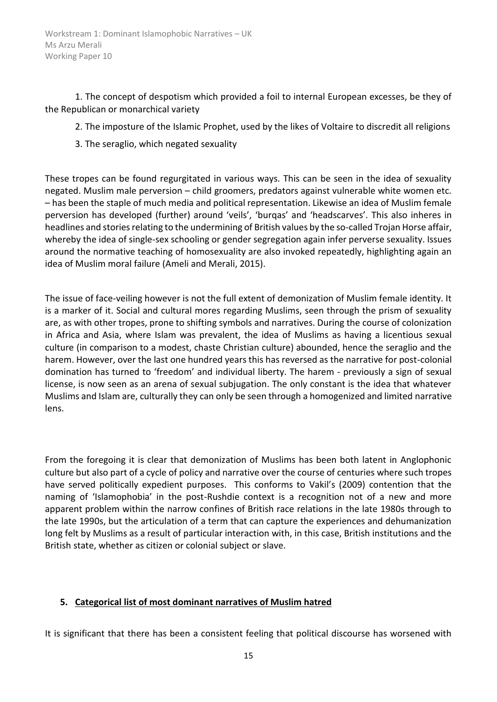1. The concept of despotism which provided a foil to internal European excesses, be they of the Republican or monarchical variety

- 2. The imposture of the Islamic Prophet, used by the likes of Voltaire to discredit all religions
- 3. The seraglio, which negated sexuality

These tropes can be found regurgitated in various ways. This can be seen in the idea of sexuality negated. Muslim male perversion – child groomers, predators against vulnerable white women etc. – has been the staple of much media and political representation. Likewise an idea of Muslim female perversion has developed (further) around 'veils', 'burqas' and 'headscarves'. This also inheres in headlines and stories relating to the undermining of British values by the so-called Trojan Horse affair, whereby the idea of single-sex schooling or gender segregation again infer perverse sexuality. Issues around the normative teaching of homosexuality are also invoked repeatedly, highlighting again an idea of Muslim moral failure (Ameli and Merali, 2015).

The issue of face-veiling however is not the full extent of demonization of Muslim female identity. It is a marker of it. Social and cultural mores regarding Muslims, seen through the prism of sexuality are, as with other tropes, prone to shifting symbols and narratives. During the course of colonization in Africa and Asia, where Islam was prevalent, the idea of Muslims as having a licentious sexual culture (in comparison to a modest, chaste Christian culture) abounded, hence the seraglio and the harem. However, over the last one hundred years this has reversed as the narrative for post-colonial domination has turned to 'freedom' and individual liberty. The harem - previously a sign of sexual license, is now seen as an arena of sexual subjugation. The only constant is the idea that whatever Muslims and Islam are, culturally they can only be seen through a homogenized and limited narrative lens.

From the foregoing it is clear that demonization of Muslims has been both latent in Anglophonic culture but also part of a cycle of policy and narrative over the course of centuries where such tropes have served politically expedient purposes. This conforms to Vakil's (2009) contention that the naming of 'Islamophobia' in the post-Rushdie context is a recognition not of a new and more apparent problem within the narrow confines of British race relations in the late 1980s through to the late 1990s, but the articulation of a term that can capture the experiences and dehumanization long felt by Muslims as a result of particular interaction with, in this case, British institutions and the British state, whether as citizen or colonial subject or slave.

# <span id="page-14-0"></span>**5. Categorical list of most dominant narratives of Muslim hatred**

It is significant that there has been a consistent feeling that political discourse has worsened with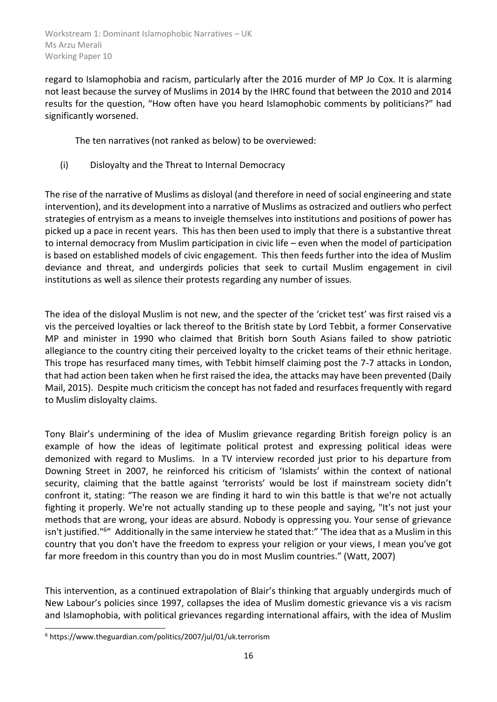regard to Islamophobia and racism, particularly after the 2016 murder of MP Jo Cox. It is alarming not least because the survey of Muslims in 2014 by the IHRC found that between the 2010 and 2014 results for the question, "How often have you heard Islamophobic comments by politicians?" had significantly worsened.

The ten narratives (not ranked as below) to be overviewed:

(i) Disloyalty and the Threat to Internal Democracy

The rise of the narrative of Muslims as disloyal (and therefore in need of social engineering and state intervention), and its development into a narrative of Muslims as ostracized and outliers who perfect strategies of entryism as a means to inveigle themselves into institutions and positions of power has picked up a pace in recent years. This has then been used to imply that there is a substantive threat to internal democracy from Muslim participation in civic life – even when the model of participation is based on established models of civic engagement. This then feeds further into the idea of Muslim deviance and threat, and undergirds policies that seek to curtail Muslim engagement in civil institutions as well as silence their protests regarding any number of issues.

The idea of the disloyal Muslim is not new, and the specter of the 'cricket test' was first raised vis a vis the perceived loyalties or lack thereof to the British state by Lord Tebbit, a former Conservative MP and minister in 1990 who claimed that British born South Asians failed to show patriotic allegiance to the country citing their perceived loyalty to the cricket teams of their ethnic heritage. This trope has resurfaced many times, with Tebbit himself claiming post the 7-7 attacks in London, that had action been taken when he first raised the idea, the attacks may have been prevented (Daily Mail, 2015). Despite much criticism the concept has not faded and resurfaces frequently with regard to Muslim disloyalty claims.

Tony Blair's undermining of the idea of Muslim grievance regarding British foreign policy is an example of how the ideas of legitimate political protest and expressing political ideas were demonized with regard to Muslims. In a TV interview recorded just prior to his departure from Downing Street in 2007, he reinforced his criticism of 'Islamists' within the context of national security, claiming that the battle against 'terrorists' would be lost if mainstream society didn't confront it, stating: "The reason we are finding it hard to win this battle is that we're not actually fighting it properly. We're not actually standing up to these people and saying, "It's not just your methods that are wrong, your ideas are absurd. Nobody is oppressing you. Your sense of grievance isn't justified."<sup>6</sup>" Additionally in the same interview he stated that:" 'The idea that as a Muslim in this country that you don't have the freedom to express your religion or your views, I mean you've got far more freedom in this country than you do in most Muslim countries." (Watt, 2007)

This intervention, as a continued extrapolation of Blair's thinking that arguably undergirds much of New Labour's policies since 1997, collapses the idea of Muslim domestic grievance vis a vis racism and Islamophobia, with political grievances regarding international affairs, with the idea of Muslim

<sup>-</sup><sup>6</sup> https://www.theguardian.com/politics/2007/jul/01/uk.terrorism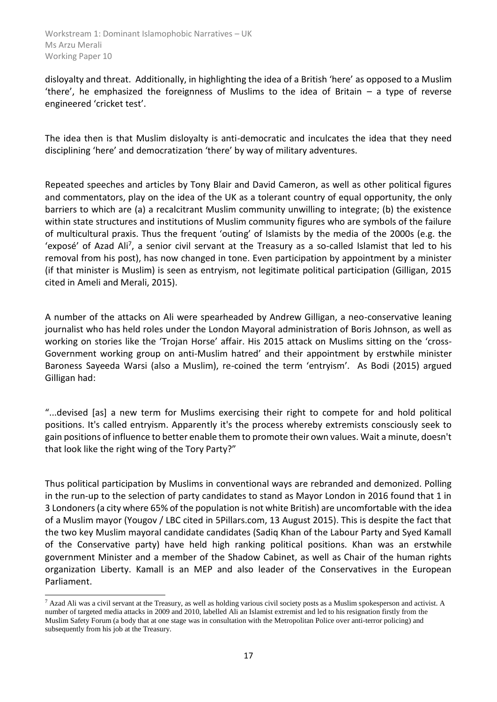disloyalty and threat. Additionally, in highlighting the idea of a British 'here' as opposed to a Muslim 'there', he emphasized the foreignness of Muslims to the idea of Britain – a type of reverse engineered 'cricket test'.

The idea then is that Muslim disloyalty is anti-democratic and inculcates the idea that they need disciplining 'here' and democratization 'there' by way of military adventures.

Repeated speeches and articles by Tony Blair and David Cameron, as well as other political figures and commentators, play on the idea of the UK as a tolerant country of equal opportunity, the only barriers to which are (a) a recalcitrant Muslim community unwilling to integrate; (b) the existence within state structures and institutions of Muslim community figures who are symbols of the failure of multicultural praxis. Thus the frequent 'outing' of Islamists by the media of the 2000s (e.g. the 'exposé' of Azad Ali<sup>7</sup>, a senior civil servant at the Treasury as a so-called Islamist that led to his removal from his post), has now changed in tone. Even participation by appointment by a minister (if that minister is Muslim) is seen as entryism, not legitimate political participation (Gilligan, 2015 cited in Ameli and Merali, 2015).

A number of the attacks on Ali were spearheaded by Andrew Gilligan, a neo-conservative leaning journalist who has held roles under the London Mayoral administration of Boris Johnson, as well as working on stories like the 'Trojan Horse' affair. His 2015 attack on Muslims sitting on the 'cross-Government working group on anti-Muslim hatred' and their appointment by erstwhile minister Baroness Sayeeda Warsi (also a Muslim), re-coined the term 'entryism'. As Bodi (2015) argued Gilligan had:

"...devised [as] a new term for Muslims exercising their right to compete for and hold political positions. It's called entryism. Apparently it's the process whereby extremists consciously seek to gain positions of influence to better enable them to promote their own values. Wait a minute, doesn't that look like the right wing of the Tory Party?"

Thus political participation by Muslims in conventional ways are rebranded and demonized. Polling in the run-up to the selection of party candidates to stand as Mayor London in 2016 found that 1 in 3 Londoners (a city where 65% of the population is not white British) are uncomfortable with the idea of a Muslim mayor (Yougov / LBC cited in 5Pillars.com, 13 August 2015). This is despite the fact that the two key Muslim mayoral candidate candidates (Sadiq Khan of the Labour Party and Syed Kamall of the Conservative party) have held high ranking political positions. Khan was an erstwhile government Minister and a member of the Shadow Cabinet, as well as Chair of the human rights organization Liberty. Kamall is an MEP and also leader of the Conservatives in the European Parliament.

-

<sup>7</sup> Azad Ali was a civil servant at the Treasury, as well as holding various civil society posts as a Muslim spokesperson and activist. A number of targeted media attacks in 2009 and 2010, labelled Ali an Islamist extremist and led to his resignation firstly from the Muslim Safety Forum (a body that at one stage was in consultation with the Metropolitan Police over anti-terror policing) and subsequently from his job at the Treasury.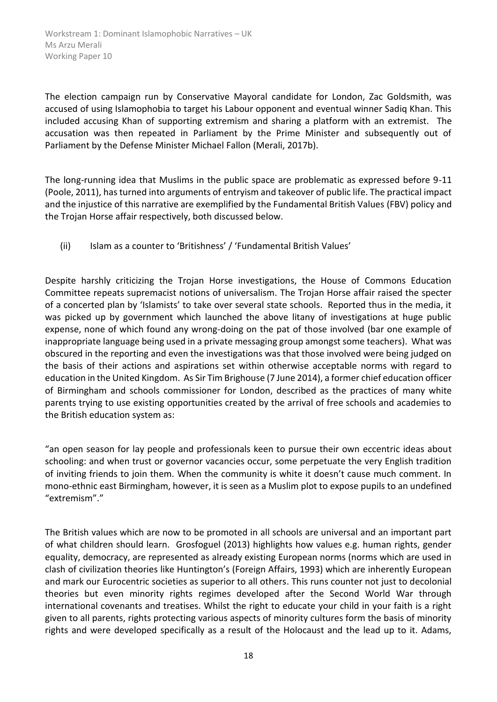The election campaign run by Conservative Mayoral candidate for London, Zac Goldsmith, was accused of using Islamophobia to target his Labour opponent and eventual winner Sadiq Khan. This included accusing Khan of supporting extremism and sharing a platform with an extremist. The accusation was then repeated in Parliament by the Prime Minister and subsequently out of Parliament by the Defense Minister Michael Fallon (Merali, 2017b).

The long-running idea that Muslims in the public space are problematic as expressed before 9-11 (Poole, 2011), has turned into arguments of entryism and takeover of public life. The practical impact and the injustice of this narrative are exemplified by the Fundamental British Values (FBV) policy and the Trojan Horse affair respectively, both discussed below.

(ii) Islam as a counter to 'Britishness' / 'Fundamental British Values'

Despite harshly criticizing the Trojan Horse investigations, the House of Commons Education Committee repeats supremacist notions of universalism. The Trojan Horse affair raised the specter of a concerted plan by 'Islamists' to take over several state schools. Reported thus in the media, it was picked up by government which launched the above litany of investigations at huge public expense, none of which found any wrong-doing on the pat of those involved (bar one example of inappropriate language being used in a private messaging group amongst some teachers). What was obscured in the reporting and even the investigations was that those involved were being judged on the basis of their actions and aspirations set within otherwise acceptable norms with regard to education in the United Kingdom. As Sir Tim Brighouse (7 June 2014), a former chief education officer of Birmingham and schools commissioner for London, described as the practices of many white parents trying to use existing opportunities created by the arrival of free schools and academies to the British education system as:

"an open season for lay people and professionals keen to pursue their own eccentric ideas about schooling: and when trust or governor vacancies occur, some perpetuate the very English tradition of inviting friends to join them. When the community is white it doesn't cause much comment. In mono-ethnic east Birmingham, however, it is seen as a Muslim plot to expose pupils to an undefined "extremism"."

The British values which are now to be promoted in all schools are universal and an important part of what children should learn. Grosfoguel (2013) highlights how values e.g. human rights, gender equality, democracy, are represented as already existing European norms (norms which are used in clash of civilization theories like Huntington's (Foreign Affairs, 1993) which are inherently European and mark our Eurocentric societies as superior to all others. This runs counter not just to decolonial theories but even minority rights regimes developed after the Second World War through international covenants and treatises. Whilst the right to educate your child in your faith is a right given to all parents, rights protecting various aspects of minority cultures form the basis of minority rights and were developed specifically as a result of the Holocaust and the lead up to it. Adams,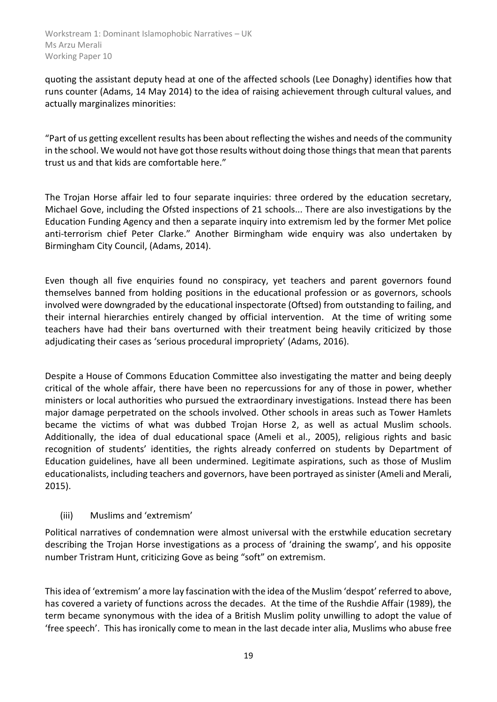quoting the assistant deputy head at one of the affected schools (Lee Donaghy) identifies how that runs counter (Adams, 14 May 2014) to the idea of raising achievement through cultural values, and actually marginalizes minorities:

"Part of us getting excellent results has been about reflecting the wishes and needs of the community in the school. We would not have got those results without doing those things that mean that parents trust us and that kids are comfortable here."

The Trojan Horse affair led to four separate inquiries: three ordered by the education secretary, Michael Gove, including the Ofsted inspections of 21 schools... There are also investigations by the Education Funding Agency and then a separate inquiry into extremism led by the former Met police anti-terrorism chief Peter Clarke." Another Birmingham wide enquiry was also undertaken by Birmingham City Council, (Adams, 2014).

Even though all five enquiries found no conspiracy, yet teachers and parent governors found themselves banned from holding positions in the educational profession or as governors, schools involved were downgraded by the educational inspectorate (Oftsed) from outstanding to failing, and their internal hierarchies entirely changed by official intervention. At the time of writing some teachers have had their bans overturned with their treatment being heavily criticized by those adjudicating their cases as 'serious procedural impropriety' (Adams, 2016).

Despite a House of Commons Education Committee also investigating the matter and being deeply critical of the whole affair, there have been no repercussions for any of those in power, whether ministers or local authorities who pursued the extraordinary investigations. Instead there has been major damage perpetrated on the schools involved. Other schools in areas such as Tower Hamlets became the victims of what was dubbed Trojan Horse 2, as well as actual Muslim schools. Additionally, the idea of dual educational space (Ameli et al., 2005), religious rights and basic recognition of students' identities, the rights already conferred on students by Department of Education guidelines, have all been undermined. Legitimate aspirations, such as those of Muslim educationalists, including teachers and governors, have been portrayed as sinister (Ameli and Merali, 2015).

# (iii) Muslims and 'extremism'

Political narratives of condemnation were almost universal with the erstwhile education secretary describing the Trojan Horse investigations as a process of 'draining the swamp', and his opposite number Tristram Hunt, criticizing Gove as being "soft" on extremism.

This idea of 'extremism' a more lay fascination with the idea of the Muslim 'despot' referred to above, has covered a variety of functions across the decades. At the time of the Rushdie Affair (1989), the term became synonymous with the idea of a British Muslim polity unwilling to adopt the value of 'free speech'. This has ironically come to mean in the last decade inter alia, Muslims who abuse free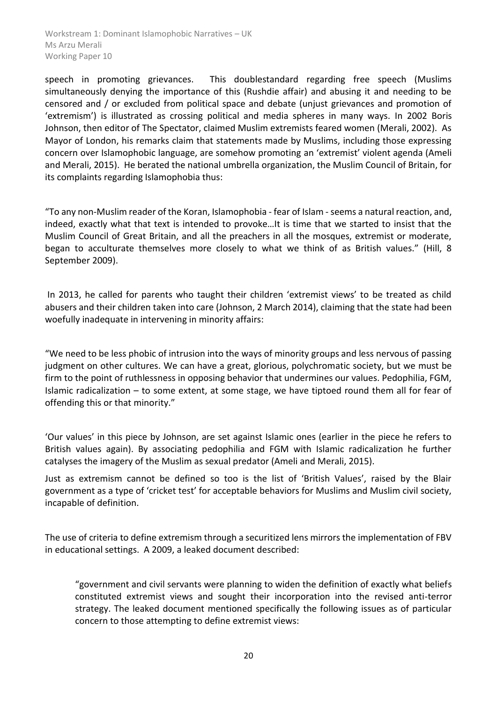speech in promoting grievances. This doublestandard regarding free speech (Muslims simultaneously denying the importance of this (Rushdie affair) and abusing it and needing to be censored and / or excluded from political space and debate (unjust grievances and promotion of 'extremism') is illustrated as crossing political and media spheres in many ways. In 2002 Boris Johnson, then editor of The Spectator, claimed Muslim extremists feared women (Merali, 2002). As Mayor of London, his remarks claim that statements made by Muslims, including those expressing concern over Islamophobic language, are somehow promoting an 'extremist' violent agenda (Ameli and Merali, 2015). He berated the national umbrella organization, the Muslim Council of Britain, for its complaints regarding Islamophobia thus:

"To any non-Muslim reader of the Koran, Islamophobia - fear of Islam -seems a natural reaction, and, indeed, exactly what that text is intended to provoke…It is time that we started to insist that the Muslim Council of Great Britain, and all the preachers in all the mosques, extremist or moderate, began to acculturate themselves more closely to what we think of as British values." (Hill, 8 September 2009).

In 2013, he called for parents who taught their children 'extremist views' to be treated as child abusers and their children taken into care (Johnson, 2 March 2014), claiming that the state had been woefully inadequate in intervening in minority affairs:

"We need to be less phobic of intrusion into the ways of minority groups and less nervous of passing judgment on other cultures. We can have a great, glorious, polychromatic society, but we must be firm to the point of ruthlessness in opposing behavior that undermines our values. Pedophilia, FGM, Islamic radicalization – to some extent, at some stage, we have tiptoed round them all for fear of offending this or that minority."

'Our values' in this piece by Johnson, are set against Islamic ones (earlier in the piece he refers to British values again). By associating pedophilia and FGM with Islamic radicalization he further catalyses the imagery of the Muslim as sexual predator (Ameli and Merali, 2015).

Just as extremism cannot be defined so too is the list of 'British Values', raised by the Blair government as a type of 'cricket test' for acceptable behaviors for Muslims and Muslim civil society, incapable of definition.

The use of criteria to define extremism through a securitized lens mirrors the implementation of FBV in educational settings. A 2009, a leaked document described:

"government and civil servants were planning to widen the definition of exactly what beliefs constituted extremist views and sought their incorporation into the revised anti-terror strategy. The leaked document mentioned specifically the following issues as of particular concern to those attempting to define extremist views: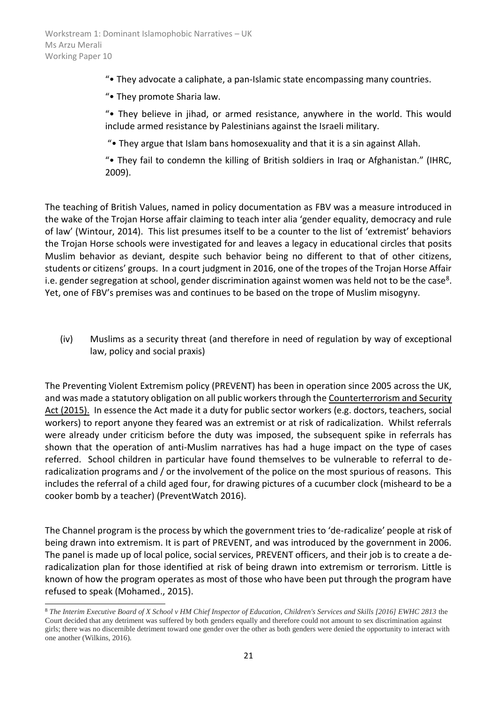"• They advocate a caliphate, a pan-Islamic state encompassing many countries.

"• They promote Sharia law.

"• They believe in jihad, or armed resistance, anywhere in the world. This would include armed resistance by Palestinians against the Israeli military.

"• They argue that Islam bans homosexuality and that it is a sin against Allah.

"• They fail to condemn the killing of British soldiers in Iraq or Afghanistan." (IHRC, 2009).

The teaching of British Values, named in policy documentation as FBV was a measure introduced in the wake of the Trojan Horse affair claiming to teach inter alia 'gender equality, democracy and rule of law' (Wintour, 2014). This list presumes itself to be a counter to the list of 'extremist' behaviors the Trojan Horse schools were investigated for and leaves a legacy in educational circles that posits Muslim behavior as deviant, despite such behavior being no different to that of other citizens, students or citizens' groups. In a court judgment in 2016, one of the tropes of the Trojan Horse Affair i.e. gender segregation at school, gender discrimination against women was held not to be the case<sup>8</sup>. Yet, one of FBV's premises was and continues to be based on the trope of Muslim misogyny.

(iv) Muslims as a security threat (and therefore in need of regulation by way of exceptional law, policy and social praxis)

The Preventing Violent Extremism policy (PREVENT) has been in operation since 2005 across the UK, and was made a statutory obligation on all public workers through the Counterterrorism and Security Act (2015). In essence the Act made it a duty for public sector workers (e.g. doctors, teachers, social workers) to report anyone they feared was an extremist or at risk of radicalization. Whilst referrals were already under criticism before the duty was imposed, the subsequent spike in referrals has shown that the operation of anti-Muslim narratives has had a huge impact on the type of cases referred. School children in particular have found themselves to be vulnerable to referral to deradicalization programs and / or the involvement of the police on the most spurious of reasons. This includes the referral of a child aged four, for drawing pictures of a cucumber clock (misheard to be a cooker bomb by a teacher) (PreventWatch 2016).

The Channel program is the process by which the government tries to 'de-radicalize' people at risk of being drawn into extremism. It is part of PREVENT, and was introduced by the government in 2006. The panel is made up of local police, social services, PREVENT officers, and their job is to create a deradicalization plan for those identified at risk of being drawn into extremism or terrorism. Little is known of how the program operates as most of those who have been put through the program have refused to speak (Mohamed., 2015).

-

<sup>8</sup> *The Interim Executive Board of X School v HM Chief Inspector of Education, Children's Services and Skills [2016] EWHC 2813* the Court decided that any detriment was suffered by both genders equally and therefore could not amount to sex discrimination against girls; there was no discernible detriment toward one gender over the other as both genders were denied the opportunity to interact with one another (Wilkins, 2016).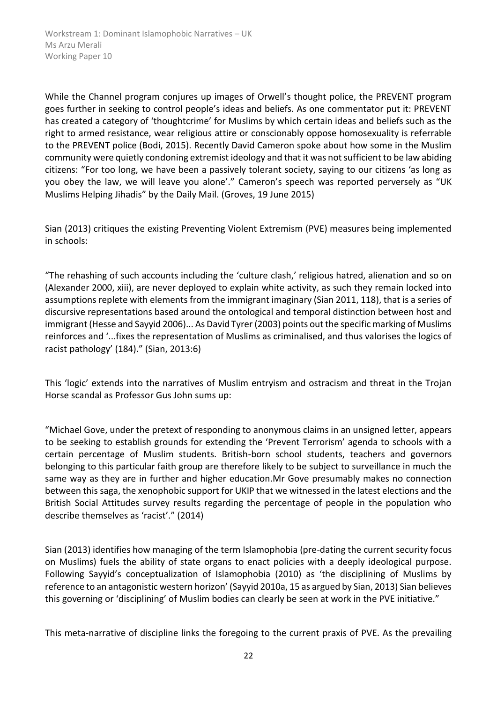While the Channel program conjures up images of Orwell's thought police, the PREVENT program goes further in seeking to control people's ideas and beliefs. As one commentator put it: PREVENT has created a category of 'thoughtcrime' for Muslims by which certain ideas and beliefs such as the right to armed resistance, wear religious attire or conscionably oppose homosexuality is referrable to the PREVENT police (Bodi, 2015). Recently David Cameron spoke about how some in the Muslim community were quietly condoning extremist ideology and that it was not sufficient to be law abiding citizens: "For too long, we have been a passively tolerant society, saying to our citizens 'as long as you obey the law, we will leave you alone'." Cameron's speech was reported perversely as "UK Muslims Helping Jihadis" by the Daily Mail. (Groves, 19 June 2015)

Sian (2013) critiques the existing Preventing Violent Extremism (PVE) measures being implemented in schools:

"The rehashing of such accounts including the 'culture clash,' religious hatred, alienation and so on (Alexander 2000, xiii), are never deployed to explain white activity, as such they remain locked into assumptions replete with elements from the immigrant imaginary (Sian 2011, 118), that is a series of discursive representations based around the ontological and temporal distinction between host and immigrant (Hesse and Sayyid 2006)... As David Tyrer (2003) points out the specific marking of Muslims reinforces and '...fixes the representation of Muslims as criminalised, and thus valorises the logics of racist pathology' (184)." (Sian, 2013:6)

This 'logic' extends into the narratives of Muslim entryism and ostracism and threat in the Trojan Horse scandal as Professor Gus John sums up:

"Michael Gove, under the pretext of responding to anonymous claims in an unsigned letter, appears to be seeking to establish grounds for extending the 'Prevent Terrorism' agenda to schools with a certain percentage of Muslim students. British-born school students, teachers and governors belonging to this particular faith group are therefore likely to be subject to surveillance in much the same way as they are in further and higher education.Mr Gove presumably makes no connection between this saga, the xenophobic support for UKIP that we witnessed in the latest elections and the British Social Attitudes survey results regarding the percentage of people in the population who describe themselves as 'racist'." (2014)

Sian (2013) identifies how managing of the term Islamophobia (pre-dating the current security focus on Muslims) fuels the ability of state organs to enact policies with a deeply ideological purpose. Following Sayyid's conceptualization of Islamophobia (2010) as 'the disciplining of Muslims by reference to an antagonistic western horizon' (Sayyid 2010a, 15 as argued by Sian, 2013) Sian believes this governing or 'disciplining' of Muslim bodies can clearly be seen at work in the PVE initiative."

This meta-narrative of discipline links the foregoing to the current praxis of PVE. As the prevailing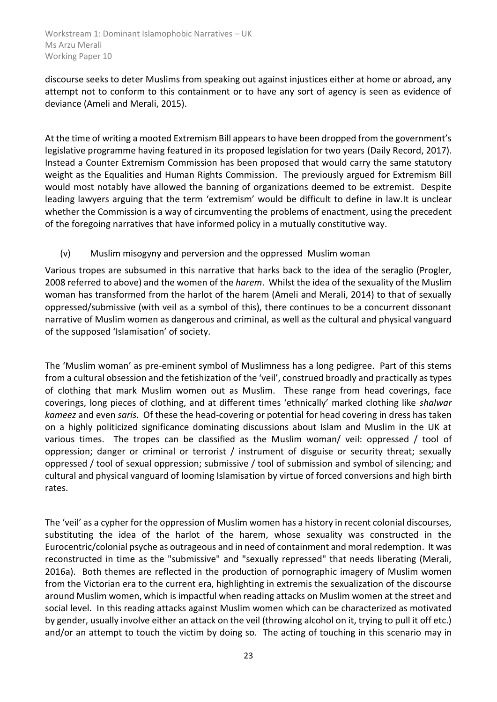discourse seeks to deter Muslims from speaking out against injustices either at home or abroad, any attempt not to conform to this containment or to have any sort of agency is seen as evidence of deviance (Ameli and Merali, 2015).

At the time of writing a mooted Extremism Bill appears to have been dropped from the government's legislative programme having featured in its proposed legislation for two years (Daily Record, 2017). Instead a Counter Extremism Commission has been proposed that would carry the same statutory weight as the Equalities and Human Rights Commission. The previously argued for Extremism Bill would most notably have allowed the banning of organizations deemed to be extremist. Despite leading lawyers arguing that the term 'extremism' would be difficult to define in law.It is unclear whether the Commission is a way of circumventing the problems of enactment, using the precedent of the foregoing narratives that have informed policy in a mutually constitutive way.

# (v) Muslim misogyny and perversion and the oppressed Muslim woman

Various tropes are subsumed in this narrative that harks back to the idea of the seraglio (Progler, 2008 referred to above) and the women of the *harem*. Whilst the idea of the sexuality of the Muslim woman has transformed from the harlot of the harem (Ameli and Merali, 2014) to that of sexually oppressed/submissive (with veil as a symbol of this), there continues to be a concurrent dissonant narrative of Muslim women as dangerous and criminal, as well as the cultural and physical vanguard of the supposed 'Islamisation' of society.

The 'Muslim woman' as pre-eminent symbol of Muslimness has a long pedigree. Part of this stems from a cultural obsession and the fetishization of the 'veil', construed broadly and practically as types of clothing that mark Muslim women out as Muslim. These range from head coverings, face coverings, long pieces of clothing, and at different times 'ethnically' marked clothing like *shalwar kameez* and even *saris*. Of these the head-covering or potential for head covering in dress has taken on a highly politicized significance dominating discussions about Islam and Muslim in the UK at various times. The tropes can be classified as the Muslim woman/ veil: oppressed / tool of oppression; danger or criminal or terrorist / instrument of disguise or security threat; sexually oppressed / tool of sexual oppression; submissive / tool of submission and symbol of silencing; and cultural and physical vanguard of looming Islamisation by virtue of forced conversions and high birth rates.

The 'veil' as a cypher for the oppression of Muslim women has a history in recent colonial discourses, substituting the idea of the harlot of the harem, whose sexuality was constructed in the Eurocentric/colonial psyche as outrageous and in need of containment and moral redemption. It was reconstructed in time as the "submissive" and "sexually repressed" that needs liberating (Merali, 2016a). Both themes are reflected in the production of pornographic imagery of Muslim women from the Victorian era to the current era, highlighting in extremis the sexualization of the discourse around Muslim women, which is impactful when reading attacks on Muslim women at the street and social level. In this reading attacks against Muslim women which can be characterized as motivated by gender, usually involve either an attack on the veil (throwing alcohol on it, trying to pull it off etc.) and/or an attempt to touch the victim by doing so. The acting of touching in this scenario may in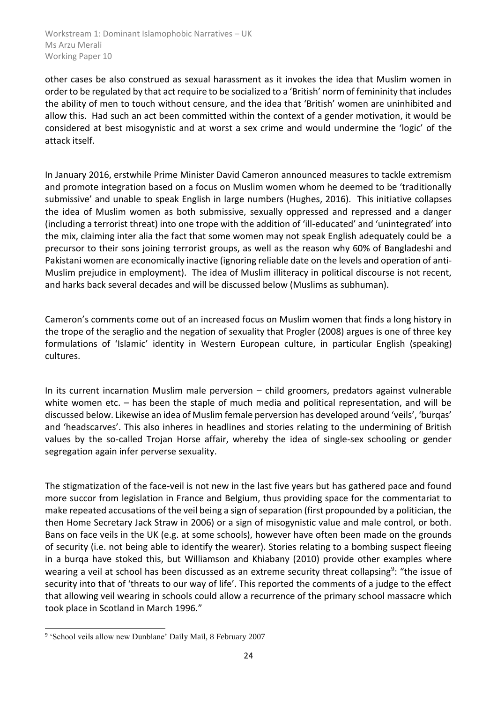other cases be also construed as sexual harassment as it invokes the idea that Muslim women in order to be regulated by that act require to be socialized to a 'British' norm of femininity that includes the ability of men to touch without censure, and the idea that 'British' women are uninhibited and allow this. Had such an act been committed within the context of a gender motivation, it would be considered at best misogynistic and at worst a sex crime and would undermine the 'logic' of the attack itself.

In January 2016, erstwhile Prime Minister David Cameron announced measures to tackle extremism and promote integration based on a focus on Muslim women whom he deemed to be 'traditionally submissive' and unable to speak English in large numbers (Hughes, 2016). This initiative collapses the idea of Muslim women as both submissive, sexually oppressed and repressed and a danger (including a terrorist threat) into one trope with the addition of 'ill-educated' and 'unintegrated' into the mix, claiming inter alia the fact that some women may not speak English adequately could be a precursor to their sons joining terrorist groups, as well as the reason why 60% of Bangladeshi and Pakistani women are economically inactive (ignoring reliable date on the levels and operation of anti-Muslim prejudice in employment). The idea of Muslim illiteracy in political discourse is not recent, and harks back several decades and will be discussed below (Muslims as subhuman).

Cameron's comments come out of an increased focus on Muslim women that finds a long history in the trope of the seraglio and the negation of sexuality that Progler (2008) argues is one of three key formulations of 'Islamic' identity in Western European culture, in particular English (speaking) cultures.

In its current incarnation Muslim male perversion – child groomers, predators against vulnerable white women etc. – has been the staple of much media and political representation, and will be discussed below. Likewise an idea of Muslim female perversion has developed around 'veils', 'burqas' and 'headscarves'. This also inheres in headlines and stories relating to the undermining of British values by the so-called Trojan Horse affair, whereby the idea of single-sex schooling or gender segregation again infer perverse sexuality.

The stigmatization of the face-veil is not new in the last five years but has gathered pace and found more succor from legislation in France and Belgium, thus providing space for the commentariat to make repeated accusations of the veil being a sign of separation (first propounded by a politician, the then Home Secretary Jack Straw in 2006) or a sign of misogynistic value and male control, or both. Bans on face veils in the UK (e.g. at some schools), however have often been made on the grounds of security (i.e. not being able to identify the wearer). Stories relating to a bombing suspect fleeing in a burqa have stoked this, but Williamson and Khiabany (2010) provide other examples where wearing a veil at school has been discussed as an extreme security threat collapsing<sup>9</sup>: "the issue of security into that of 'threats to our way of life'. This reported the comments of a judge to the effect that allowing veil wearing in schools could allow a recurrence of the primary school massacre which took place in Scotland in March 1996."

<sup>-</sup><sup>9</sup> 'School veils allow new Dunblane' Daily Mail, 8 February 2007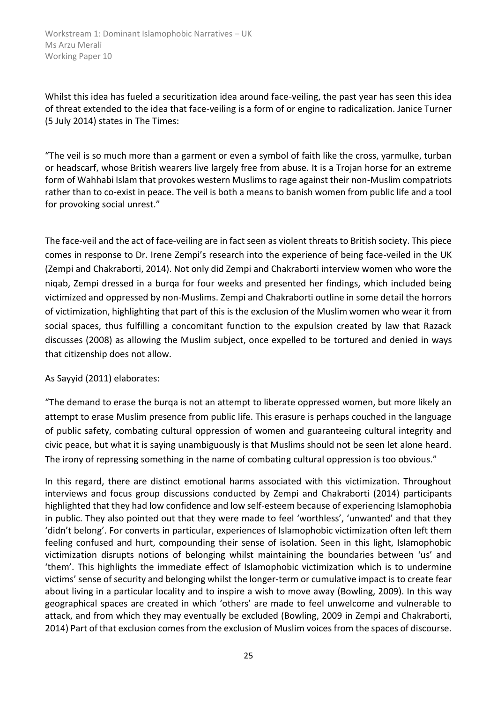Whilst this idea has fueled a securitization idea around face-veiling, the past year has seen this idea of threat extended to the idea that face-veiling is a form of or engine to radicalization. Janice Turner (5 July 2014) states in The Times:

"The veil is so much more than a garment or even a symbol of faith like the cross, yarmulke, turban or headscarf, whose British wearers live largely free from abuse. It is a Trojan horse for an extreme form of Wahhabi Islam that provokes western Muslims to rage against their non-Muslim compatriots rather than to co-exist in peace. The veil is both a means to banish women from public life and a tool for provoking social unrest."

The face-veil and the act of face-veiling are in fact seen as violent threats to British society. This piece comes in response to Dr. Irene Zempi's research into the experience of being face-veiled in the UK (Zempi and Chakraborti, 2014). Not only did Zempi and Chakraborti interview women who wore the niqab, Zempi dressed in a burqa for four weeks and presented her findings, which included being victimized and oppressed by non-Muslims. Zempi and Chakraborti outline in some detail the horrors of victimization, highlighting that part of this is the exclusion of the Muslim women who wear it from social spaces, thus fulfilling a concomitant function to the expulsion created by law that Razack discusses (2008) as allowing the Muslim subject, once expelled to be tortured and denied in ways that citizenship does not allow.

#### As Sayyid (2011) elaborates:

"The demand to erase the burqa is not an attempt to liberate oppressed women, but more likely an attempt to erase Muslim presence from public life. This erasure is perhaps couched in the language of public safety, combating cultural oppression of women and guaranteeing cultural integrity and civic peace, but what it is saying unambiguously is that Muslims should not be seen let alone heard. The irony of repressing something in the name of combating cultural oppression is too obvious."

In this regard, there are distinct emotional harms associated with this victimization. Throughout interviews and focus group discussions conducted by Zempi and Chakraborti (2014) participants highlighted that they had low confidence and low self-esteem because of experiencing Islamophobia in public. They also pointed out that they were made to feel 'worthless', 'unwanted' and that they 'didn't belong'. For converts in particular, experiences of Islamophobic victimization often left them feeling confused and hurt, compounding their sense of isolation. Seen in this light, Islamophobic victimization disrupts notions of belonging whilst maintaining the boundaries between 'us' and 'them'. This highlights the immediate effect of Islamophobic victimization which is to undermine victims' sense of security and belonging whilst the longer-term or cumulative impact is to create fear about living in a particular locality and to inspire a wish to move away (Bowling, 2009). In this way geographical spaces are created in which 'others' are made to feel unwelcome and vulnerable to attack, and from which they may eventually be excluded (Bowling, 2009 in Zempi and Chakraborti, 2014) Part of that exclusion comes from the exclusion of Muslim voices from the spaces of discourse.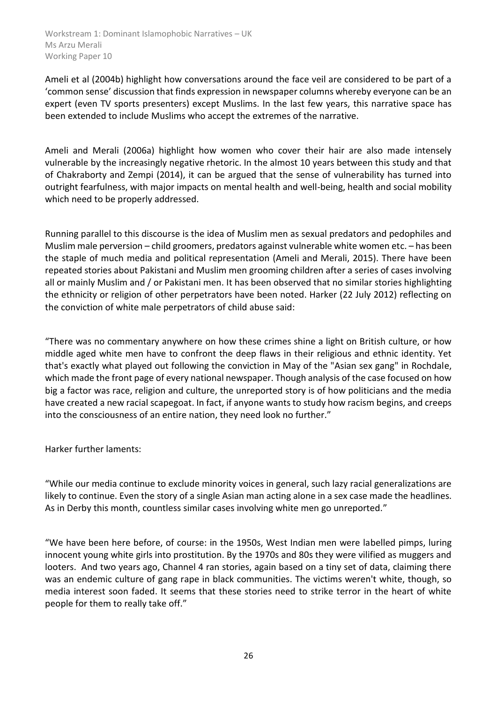Ameli et al (2004b) highlight how conversations around the face veil are considered to be part of a 'common sense' discussion that finds expression in newspaper columns whereby everyone can be an expert (even TV sports presenters) except Muslims. In the last few years, this narrative space has been extended to include Muslims who accept the extremes of the narrative.

Ameli and Merali (2006a) highlight how women who cover their hair are also made intensely vulnerable by the increasingly negative rhetoric. In the almost 10 years between this study and that of Chakraborty and Zempi (2014), it can be argued that the sense of vulnerability has turned into outright fearfulness, with major impacts on mental health and well-being, health and social mobility which need to be properly addressed.

Running parallel to this discourse is the idea of Muslim men as sexual predators and pedophiles and Muslim male perversion – child groomers, predators against vulnerable white women etc. – has been the staple of much media and political representation (Ameli and Merali, 2015). There have been repeated stories about Pakistani and Muslim men grooming children after a series of cases involving all or mainly Muslim and / or Pakistani men. It has been observed that no similar stories highlighting the ethnicity or religion of other perpetrators have been noted. Harker (22 July 2012) reflecting on the conviction of white male perpetrators of child abuse said:

"There was no commentary anywhere on how these crimes shine a light on British culture, or how middle aged white men have to confront the deep flaws in their religious and ethnic identity. Yet that's exactly what played out following the conviction in May of the "Asian sex gang" in Rochdale, which made the front page of every national newspaper. Though analysis of the case focused on how big a factor was race, religion and culture, the unreported story is of how politicians and the media have created a new racial scapegoat. In fact, if anyone wants to study how racism begins, and creeps into the consciousness of an entire nation, they need look no further."

Harker further laments:

"While our media continue to exclude minority voices in general, such lazy racial generalizations are likely to continue. Even the story of a single Asian man acting alone in a sex case made the headlines. As in Derby this month, countless similar cases involving white men go unreported."

"We have been here before, of course: in the 1950s, West Indian men were labelled pimps, luring innocent young white girls into prostitution. By the 1970s and 80s they were vilified as muggers and looters. And two years ago, Channel 4 ran stories, again based on a tiny set of data, claiming there was an endemic culture of gang rape in black communities. The victims weren't white, though, so media interest soon faded. It seems that these stories need to strike terror in the heart of white people for them to really take off."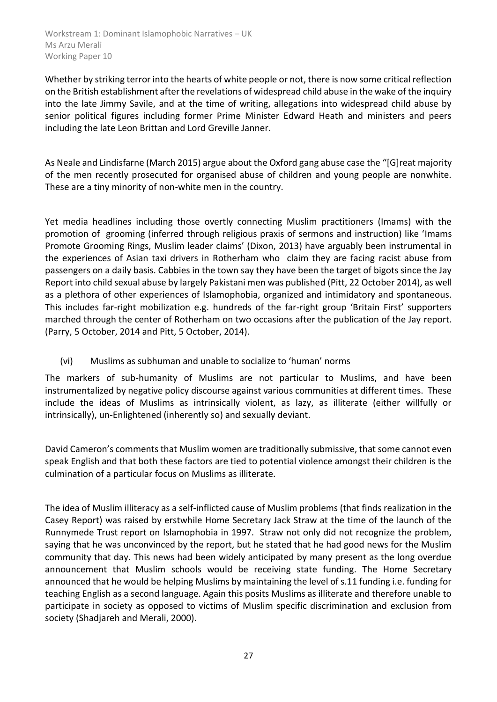Whether by striking terror into the hearts of white people or not, there is now some critical reflection on the British establishment after the revelations of widespread child abuse in the wake of the inquiry into the late Jimmy Savile, and at the time of writing, allegations into widespread child abuse by senior political figures including former Prime Minister Edward Heath and ministers and peers including the late Leon Brittan and Lord Greville Janner.

As Neale and Lindisfarne (March 2015) argue about the Oxford gang abuse case the "[G]reat majority of the men recently prosecuted for organised abuse of children and young people are nonwhite. These are a tiny minority of non-white men in the country.

Yet media headlines including those overtly connecting Muslim practitioners (Imams) with the promotion of grooming (inferred through religious praxis of sermons and instruction) like 'Imams Promote Grooming Rings, Muslim leader claims' (Dixon, 2013) have arguably been instrumental in the experiences of Asian taxi drivers in Rotherham who claim they are facing racist abuse from passengers on a daily basis. Cabbies in the town say they have been the target of bigots since the Jay Report into child sexual abuse by largely Pakistani men was published (Pitt, 22 October 2014), as well as a plethora of other experiences of Islamophobia, organized and intimidatory and spontaneous. This includes far-right mobilization e.g. hundreds of the far-right group 'Britain First' supporters marched through the center of Rotherham on two occasions after the publication of the Jay report. (Parry, 5 October, 2014 and Pitt, 5 October, 2014).

(vi) Muslims as subhuman and unable to socialize to 'human' norms

The markers of sub-humanity of Muslims are not particular to Muslims, and have been instrumentalized by negative policy discourse against various communities at different times. These include the ideas of Muslims as intrinsically violent, as lazy, as illiterate (either willfully or intrinsically), un-Enlightened (inherently so) and sexually deviant.

David Cameron's comments that Muslim women are traditionally submissive, that some cannot even speak English and that both these factors are tied to potential violence amongst their children is the culmination of a particular focus on Muslims as illiterate.

The idea of Muslim illiteracy as a self-inflicted cause of Muslim problems (that finds realization in the Casey Report) was raised by erstwhile Home Secretary Jack Straw at the time of the launch of the Runnymede Trust report on Islamophobia in 1997. Straw not only did not recognize the problem, saying that he was unconvinced by the report, but he stated that he had good news for the Muslim community that day. This news had been widely anticipated by many present as the long overdue announcement that Muslim schools would be receiving state funding. The Home Secretary announced that he would be helping Muslims by maintaining the level of s.11 funding i.e. funding for teaching English as a second language. Again this posits Muslims as illiterate and therefore unable to participate in society as opposed to victims of Muslim specific discrimination and exclusion from society (Shadjareh and Merali, 2000).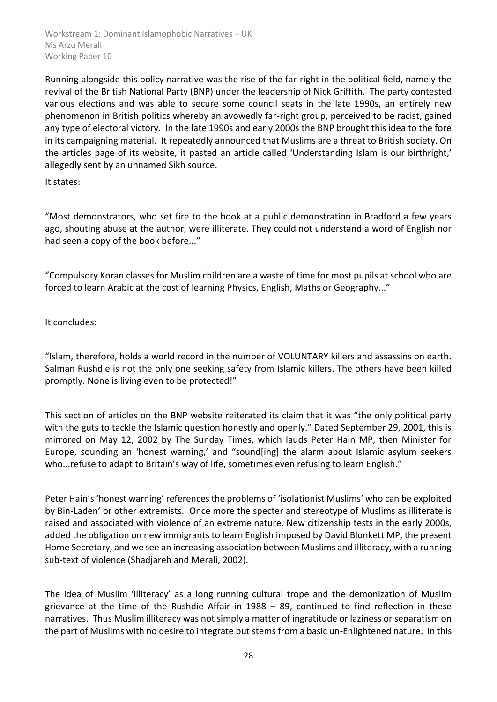Running alongside this policy narrative was the rise of the far-right in the political field, namely the revival of the British National Party (BNP) under the leadership of Nick Griffith. The party contested various elections and was able to secure some council seats in the late 1990s, an entirely new phenomenon in British politics whereby an avowedly far-right group, perceived to be racist, gained any type of electoral victory. In the late 1990s and early 2000s the BNP brought this idea to the fore in its campaigning material. It repeatedly announced that Muslims are a threat to British society. On the articles page of its website, it pasted an article called 'Understanding Islam is our birthright,' allegedly sent by an unnamed Sikh source.

It states:

"Most demonstrators, who set fire to the book at a public demonstration in Bradford a few years ago, shouting abuse at the author, were illiterate. They could not understand a word of English nor had seen a copy of the book before..."

"Compulsory Koran classes for Muslim children are a waste of time for most pupils at school who are forced to learn Arabic at the cost of learning Physics, English, Maths or Geography..."

It concludes:

"Islam, therefore, holds a world record in the number of VOLUNTARY killers and assassins on earth. Salman Rushdie is not the only one seeking safety from Islamic killers. The others have been killed promptly. None is living even to be protected!"

This section of articles on the BNP website reiterated its claim that it was "the only political party with the guts to tackle the Islamic question honestly and openly." Dated September 29, 2001, this is mirrored on May 12, 2002 by The Sunday Times, which lauds Peter Hain MP, then Minister for Europe, sounding an 'honest warning,' and "sound[ing] the alarm about Islamic asylum seekers who...refuse to adapt to Britain's way of life, sometimes even refusing to learn English."

Peter Hain's 'honest warning' references the problems of 'isolationist Muslims' who can be exploited by Bin-Laden' or other extremists. Once more the specter and stereotype of Muslims as illiterate is raised and associated with violence of an extreme nature. New citizenship tests in the early 2000s, added the obligation on new immigrants to learn English imposed by David Blunkett MP, the present Home Secretary, and we see an increasing association between Muslims and illiteracy, with a running sub-text of violence (Shadjareh and Merali, 2002).

The idea of Muslim 'illiteracy' as a long running cultural trope and the demonization of Muslim grievance at the time of the Rushdie Affair in 1988 – 89, continued to find reflection in these narratives. Thus Muslim illiteracy was not simply a matter of ingratitude or laziness or separatism on the part of Muslims with no desire to integrate but stems from a basic un-Enlightened nature. In this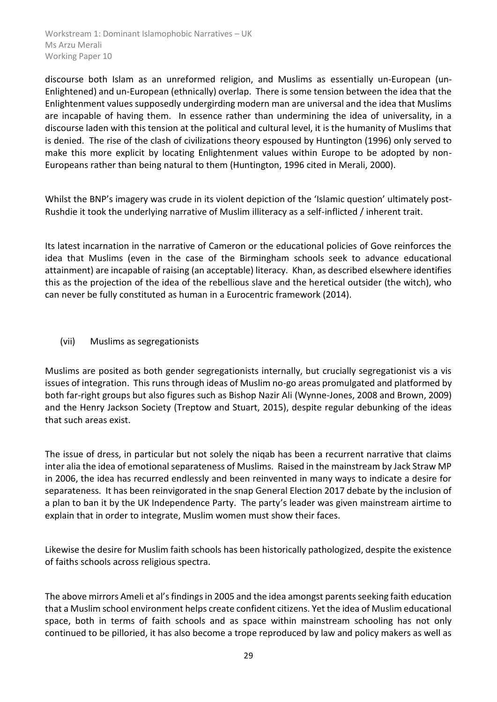discourse both Islam as an unreformed religion, and Muslims as essentially un-European (un-Enlightened) and un-European (ethnically) overlap. There is some tension between the idea that the Enlightenment values supposedly undergirding modern man are universal and the idea that Muslims are incapable of having them. In essence rather than undermining the idea of universality, in a discourse laden with this tension at the political and cultural level, it is the humanity of Muslims that is denied. The rise of the clash of civilizations theory espoused by Huntington (1996) only served to make this more explicit by locating Enlightenment values within Europe to be adopted by non-Europeans rather than being natural to them (Huntington, 1996 cited in Merali, 2000).

Whilst the BNP's imagery was crude in its violent depiction of the 'Islamic question' ultimately post-Rushdie it took the underlying narrative of Muslim illiteracy as a self-inflicted / inherent trait.

Its latest incarnation in the narrative of Cameron or the educational policies of Gove reinforces the idea that Muslims (even in the case of the Birmingham schools seek to advance educational attainment) are incapable of raising (an acceptable) literacy. Khan, as described elsewhere identifies this as the projection of the idea of the rebellious slave and the heretical outsider (the witch), who can never be fully constituted as human in a Eurocentric framework (2014).

# (vii) Muslims as segregationists

Muslims are posited as both gender segregationists internally, but crucially segregationist vis a vis issues of integration. This runs through ideas of Muslim no-go areas promulgated and platformed by both far-right groups but also figures such as Bishop Nazir Ali (Wynne-Jones, 2008 and Brown, 2009) and the Henry Jackson Society (Treptow and Stuart, 2015), despite regular debunking of the ideas that such areas exist.

The issue of dress, in particular but not solely the niqab has been a recurrent narrative that claims inter alia the idea of emotional separateness of Muslims. Raised in the mainstream by Jack Straw MP in 2006, the idea has recurred endlessly and been reinvented in many ways to indicate a desire for separateness. It has been reinvigorated in the snap General Election 2017 debate by the inclusion of a plan to ban it by the UK Independence Party. The party's leader was given mainstream airtime to explain that in order to integrate, Muslim women must show their faces.

Likewise the desire for Muslim faith schools has been historically pathologized, despite the existence of faiths schools across religious spectra.

The above mirrors Ameli et al's findings in 2005 and the idea amongst parents seeking faith education that a Muslim school environment helps create confident citizens. Yet the idea of Muslim educational space, both in terms of faith schools and as space within mainstream schooling has not only continued to be pilloried, it has also become a trope reproduced by law and policy makers as well as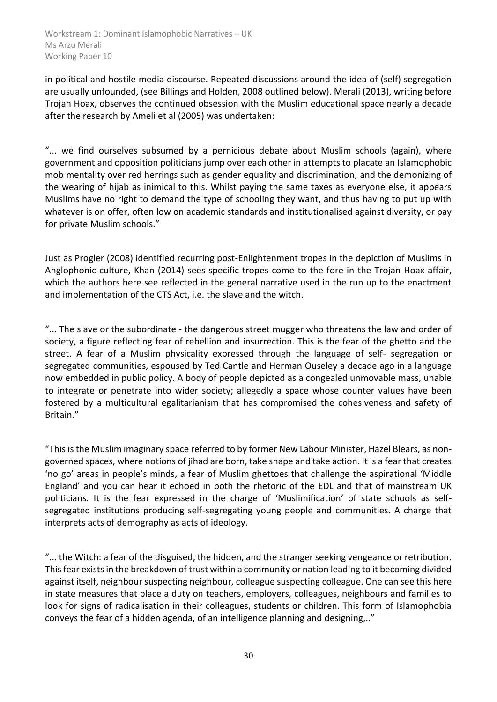in political and hostile media discourse. Repeated discussions around the idea of (self) segregation are usually unfounded, (see Billings and Holden, 2008 outlined below). Merali (2013), writing before Trojan Hoax, observes the continued obsession with the Muslim educational space nearly a decade after the research by Ameli et al (2005) was undertaken:

"... we find ourselves subsumed by a pernicious debate about Muslim schools (again), where government and opposition politicians jump over each other in attempts to placate an Islamophobic mob mentality over red herrings such as gender equality and discrimination, and the demonizing of the wearing of hijab as inimical to this. Whilst paying the same taxes as everyone else, it appears Muslims have no right to demand the type of schooling they want, and thus having to put up with whatever is on offer, often low on academic standards and institutionalised against diversity, or pay for private Muslim schools."

Just as Progler (2008) identified recurring post-Enlightenment tropes in the depiction of Muslims in Anglophonic culture, Khan (2014) sees specific tropes come to the fore in the Trojan Hoax affair, which the authors here see reflected in the general narrative used in the run up to the enactment and implementation of the CTS Act, i.e. the slave and the witch.

"... The slave or the subordinate - the dangerous street mugger who threatens the law and order of society, a figure reflecting fear of rebellion and insurrection. This is the fear of the ghetto and the street. A fear of a Muslim physicality expressed through the language of self- segregation or segregated communities, espoused by Ted Cantle and Herman Ouseley a decade ago in a language now embedded in public policy. A body of people depicted as a congealed unmovable mass, unable to integrate or penetrate into wider society; allegedly a space whose counter values have been fostered by a multicultural egalitarianism that has compromised the cohesiveness and safety of Britain."

"This is the Muslim imaginary space referred to by former New Labour Minister, Hazel Blears, as nongoverned spaces, where notions of jihad are born, take shape and take action. It is a fear that creates 'no go' areas in people's minds, a fear of Muslim ghettoes that challenge the aspirational 'Middle England' and you can hear it echoed in both the rhetoric of the EDL and that of mainstream UK politicians. It is the fear expressed in the charge of 'Muslimification' of state schools as selfsegregated institutions producing self-segregating young people and communities. A charge that interprets acts of demography as acts of ideology.

"... the Witch: a fear of the disguised, the hidden, and the stranger seeking vengeance or retribution. This fear exists in the breakdown of trust within a community or nation leading to it becoming divided against itself, neighbour suspecting neighbour, colleague suspecting colleague. One can see this here in state measures that place a duty on teachers, employers, colleagues, neighbours and families to look for signs of radicalisation in their colleagues, students or children. This form of Islamophobia conveys the fear of a hidden agenda, of an intelligence planning and designing,.."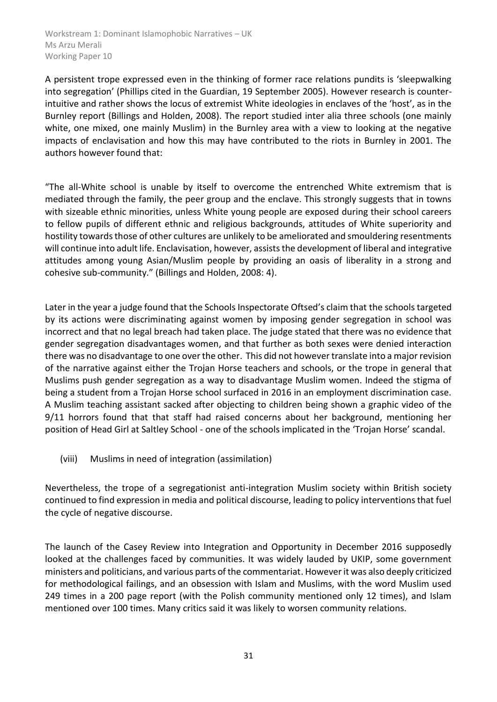A persistent trope expressed even in the thinking of former race relations pundits is 'sleepwalking into segregation' (Phillips cited in the Guardian, 19 September 2005). However research is counterintuitive and rather shows the locus of extremist White ideologies in enclaves of the 'host', as in the Burnley report (Billings and Holden, 2008). The report studied inter alia three schools (one mainly white, one mixed, one mainly Muslim) in the Burnley area with a view to looking at the negative impacts of enclavisation and how this may have contributed to the riots in Burnley in 2001. The authors however found that:

"The all-White school is unable by itself to overcome the entrenched White extremism that is mediated through the family, the peer group and the enclave. This strongly suggests that in towns with sizeable ethnic minorities, unless White young people are exposed during their school careers to fellow pupils of different ethnic and religious backgrounds, attitudes of White superiority and hostility towards those of other cultures are unlikely to be ameliorated and smouldering resentments will continue into adult life. Enclavisation, however, assists the development of liberal and integrative attitudes among young Asian/Muslim people by providing an oasis of liberality in a strong and cohesive sub-community." (Billings and Holden, 2008: 4).

Later in the year a judge found that the Schools Inspectorate Oftsed's claim that the schools targeted by its actions were discriminating against women by imposing gender segregation in school was incorrect and that no legal breach had taken place. The judge stated that there was no evidence that gender segregation disadvantages women, and that further as both sexes were denied interaction there was no disadvantage to one over the other. This did not however translate into a major revision of the narrative against either the Trojan Horse teachers and schools, or the trope in general that Muslims push gender segregation as a way to disadvantage Muslim women. Indeed the stigma of being a student from a Trojan Horse school surfaced in 2016 in an employment discrimination case. A Muslim teaching assistant sacked after objecting to children being shown a graphic video of the 9/11 horrors found that that staff had raised concerns about her background, mentioning her position of Head Girl at Saltley School - one of the schools implicated in the 'Trojan Horse' scandal.

(viii) Muslims in need of integration (assimilation)

Nevertheless, the trope of a segregationist anti-integration Muslim society within British society continued to find expression in media and political discourse, leading to policy interventions that fuel the cycle of negative discourse.

The launch of the Casey Review into Integration and Opportunity in December 2016 supposedly looked at the challenges faced by communities. It was widely lauded by UKIP, some government ministers and politicians, and various parts of the commentariat. However it was also deeply criticized for methodological failings, and an obsession with Islam and Muslims, with the word Muslim used 249 times in a 200 page report (with the Polish community mentioned only 12 times), and Islam mentioned over 100 times. Many critics said it was likely to worsen community relations.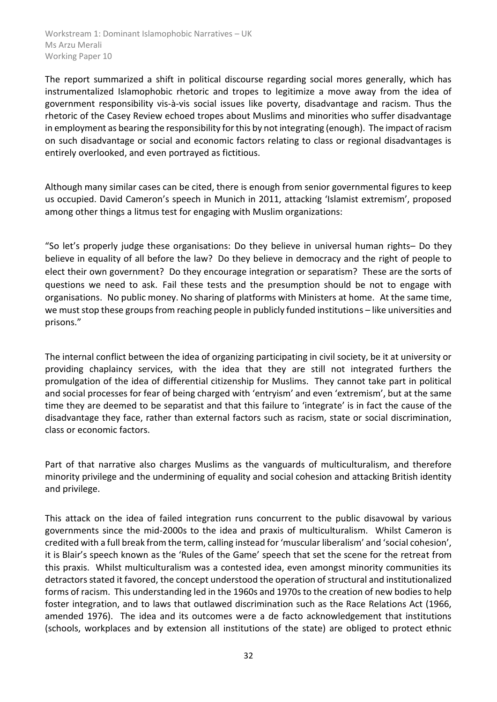The report summarized a shift in political discourse regarding social mores generally, which has instrumentalized Islamophobic rhetoric and tropes to legitimize a move away from the idea of government responsibility vis-à-vis social issues like poverty, disadvantage and racism. Thus the rhetoric of the Casey Review echoed tropes about Muslims and minorities who suffer disadvantage in employment as bearing the responsibility for this by not integrating (enough). The impact of racism on such disadvantage or social and economic factors relating to class or regional disadvantages is entirely overlooked, and even portrayed as fictitious.

Although many similar cases can be cited, there is enough from senior governmental figures to keep us occupied. David Cameron's speech in Munich in 2011, attacking 'Islamist extremism', proposed among other things a litmus test for engaging with Muslim organizations:

"So let's properly judge these organisations: Do they believe in universal human rights– Do they believe in equality of all before the law? Do they believe in democracy and the right of people to elect their own government? Do they encourage integration or separatism? These are the sorts of questions we need to ask. Fail these tests and the presumption should be not to engage with organisations. No public money. No sharing of platforms with Ministers at home. At the same time, we must stop these groups from reaching people in publicly funded institutions – like universities and prisons."

The internal conflict between the idea of organizing participating in civil society, be it at university or providing chaplaincy services, with the idea that they are still not integrated furthers the promulgation of the idea of differential citizenship for Muslims. They cannot take part in political and social processes for fear of being charged with 'entryism' and even 'extremism', but at the same time they are deemed to be separatist and that this failure to 'integrate' is in fact the cause of the disadvantage they face, rather than external factors such as racism, state or social discrimination, class or economic factors.

Part of that narrative also charges Muslims as the vanguards of multiculturalism, and therefore minority privilege and the undermining of equality and social cohesion and attacking British identity and privilege.

This attack on the idea of failed integration runs concurrent to the public disavowal by various governments since the mid-2000s to the idea and praxis of multiculturalism. Whilst Cameron is credited with a full break from the term, calling instead for 'muscular liberalism' and 'social cohesion', it is Blair's speech known as the 'Rules of the Game' speech that set the scene for the retreat from this praxis. Whilst multiculturalism was a contested idea, even amongst minority communities its detractors stated it favored, the concept understood the operation of structural and institutionalized forms of racism. This understanding led in the 1960s and 1970s to the creation of new bodies to help foster integration, and to laws that outlawed discrimination such as the Race Relations Act (1966, amended 1976). The idea and its outcomes were a de facto acknowledgement that institutions (schools, workplaces and by extension all institutions of the state) are obliged to protect ethnic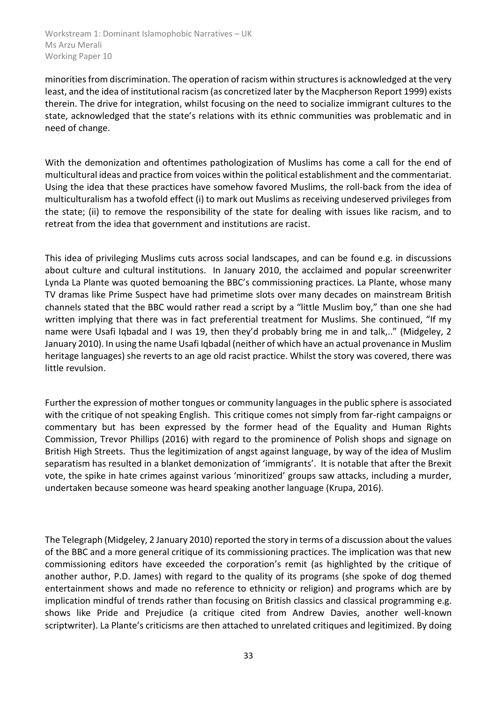minorities from discrimination. The operation of racism within structures is acknowledged at the very least, and the idea of institutional racism (as concretized later by the Macpherson Report 1999) exists therein. The drive for integration, whilst focusing on the need to socialize immigrant cultures to the state, acknowledged that the state's relations with its ethnic communities was problematic and in need of change.

With the demonization and oftentimes pathologization of Muslims has come a call for the end of multicultural ideas and practice from voices within the political establishment and the commentariat. Using the idea that these practices have somehow favored Muslims, the roll-back from the idea of multiculturalism has a twofold effect (i) to mark out Muslims as receiving undeserved privileges from the state; (ii) to remove the responsibility of the state for dealing with issues like racism, and to retreat from the idea that government and institutions are racist.

This idea of privileging Muslims cuts across social landscapes, and can be found e.g. in discussions about culture and cultural institutions. In January 2010, the acclaimed and popular screenwriter Lynda La Plante was quoted bemoaning the BBC's commissioning practices. La Plante, whose many TV dramas like Prime Suspect have had primetime slots over many decades on mainstream British channels stated that the BBC would rather read a script by a "little Muslim boy," than one she had written implying that there was in fact preferential treatment for Muslims. She continued, "If my name were Usafi Iqbadal and I was 19, then they'd probably bring me in and talk,.." (Midgeley, 2 January 2010). In using the name Usafi Iqbadal (neither of which have an actual provenance in Muslim heritage languages) she reverts to an age old racist practice. Whilst the story was covered, there was little revulsion.

Further the expression of mother tongues or community languages in the public sphere is associated with the critique of not speaking English. This critique comes not simply from far-right campaigns or commentary but has been expressed by the former head of the Equality and Human Rights Commission, Trevor Phillips (2016) with regard to the prominence of Polish shops and signage on British High Streets. Thus the legitimization of angst against language, by way of the idea of Muslim separatism has resulted in a blanket demonization of 'immigrants'. It is notable that after the Brexit vote, the spike in hate crimes against various 'minoritized' groups saw attacks, including a murder, undertaken because someone was heard speaking another language (Krupa, 2016).

The Telegraph (Midgeley, 2 January 2010) reported the story in terms of a discussion about the values of the BBC and a more general critique of its commissioning practices. The implication was that new commissioning editors have exceeded the corporation's remit (as highlighted by the critique of another author, P.D. James) with regard to the quality of its programs (she spoke of dog themed entertainment shows and made no reference to ethnicity or religion) and programs which are by implication mindful of trends rather than focusing on British classics and classical programming e.g. shows like Pride and Prejudice (a critique cited from Andrew Davies, another well-known scriptwriter). La Plante's criticisms are then attached to unrelated critiques and legitimized. By doing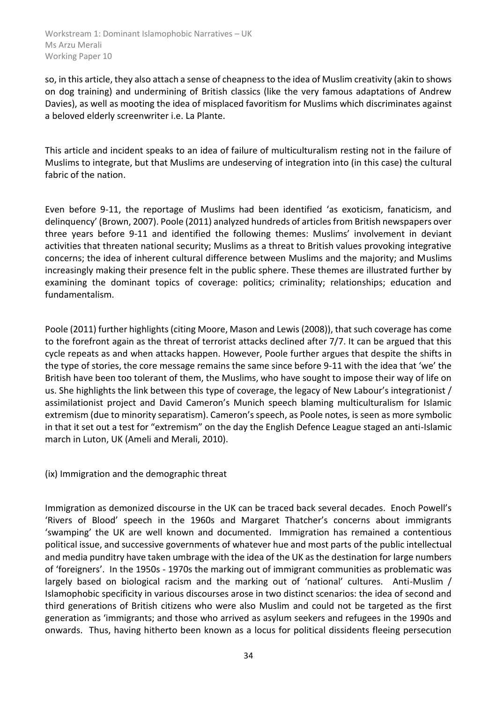so, in this article, they also attach a sense of cheapness to the idea of Muslim creativity (akin to shows on dog training) and undermining of British classics (like the very famous adaptations of Andrew Davies), as well as mooting the idea of misplaced favoritism for Muslims which discriminates against a beloved elderly screenwriter i.e. La Plante.

This article and incident speaks to an idea of failure of multiculturalism resting not in the failure of Muslims to integrate, but that Muslims are undeserving of integration into (in this case) the cultural fabric of the nation.

Even before 9-11, the reportage of Muslims had been identified 'as exoticism, fanaticism, and delinquency' (Brown, 2007). Poole (2011) analyzed hundreds of articles from British newspapers over three years before 9-11 and identified the following themes: Muslims' involvement in deviant activities that threaten national security; Muslims as a threat to British values provoking integrative concerns; the idea of inherent cultural difference between Muslims and the majority; and Muslims increasingly making their presence felt in the public sphere. These themes are illustrated further by examining the dominant topics of coverage: politics; criminality; relationships; education and fundamentalism.

Poole (2011) further highlights (citing Moore, Mason and Lewis (2008)), that such coverage has come to the forefront again as the threat of terrorist attacks declined after 7/7. It can be argued that this cycle repeats as and when attacks happen. However, Poole further argues that despite the shifts in the type of stories, the core message remains the same since before 9-11 with the idea that 'we' the British have been too tolerant of them, the Muslims, who have sought to impose their way of life on us. She highlights the link between this type of coverage, the legacy of New Labour's integrationist / assimilationist project and David Cameron's Munich speech blaming multiculturalism for Islamic extremism (due to minority separatism). Cameron's speech, as Poole notes, is seen as more symbolic in that it set out a test for "extremism" on the day the English Defence League staged an anti-Islamic march in Luton, UK (Ameli and Merali, 2010).

(ix) Immigration and the demographic threat

Immigration as demonized discourse in the UK can be traced back several decades. Enoch Powell's 'Rivers of Blood' speech in the 1960s and Margaret Thatcher's concerns about immigrants 'swamping' the UK are well known and documented. Immigration has remained a contentious political issue, and successive governments of whatever hue and most parts of the public intellectual and media punditry have taken umbrage with the idea of the UK as the destination for large numbers of 'foreigners'. In the 1950s - 1970s the marking out of immigrant communities as problematic was largely based on biological racism and the marking out of 'national' cultures. Anti-Muslim / Islamophobic specificity in various discourses arose in two distinct scenarios: the idea of second and third generations of British citizens who were also Muslim and could not be targeted as the first generation as 'immigrants; and those who arrived as asylum seekers and refugees in the 1990s and onwards. Thus, having hitherto been known as a locus for political dissidents fleeing persecution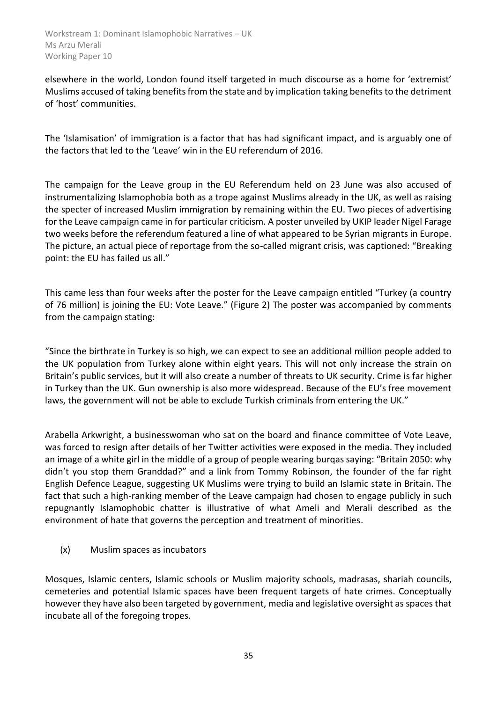elsewhere in the world, London found itself targeted in much discourse as a home for 'extremist' Muslims accused of taking benefits from the state and by implication taking benefits to the detriment of 'host' communities.

The 'Islamisation' of immigration is a factor that has had significant impact, and is arguably one of the factors that led to the 'Leave' win in the EU referendum of 2016.

The campaign for the Leave group in the EU Referendum held on 23 June was also accused of instrumentalizing Islamophobia both as a trope against Muslims already in the UK, as well as raising the specter of increased Muslim immigration by remaining within the EU. Two pieces of advertising for the Leave campaign came in for particular criticism. A poster unveiled by UKIP leader Nigel Farage two weeks before the referendum featured a line of what appeared to be Syrian migrants in Europe. The picture, an actual piece of reportage from the so-called migrant crisis, was captioned: "Breaking point: the EU has failed us all."

This came less than four weeks after the poster for the Leave campaign entitled "Turkey (a country of 76 million) is joining the EU: Vote Leave." (Figure 2) The poster was accompanied by comments from the campaign stating:

"Since the birthrate in Turkey is so high, we can expect to see an additional million people added to the UK population from Turkey alone within eight years. This will not only increase the strain on Britain's public services, but it will also create a number of threats to UK security. Crime is far higher in Turkey than the UK. Gun ownership is also more widespread. Because of the EU's free movement laws, the government will not be able to exclude Turkish criminals from entering the UK."

Arabella Arkwright, a businesswoman who sat on the board and finance committee of Vote Leave, was forced to resign after details of her Twitter activities were exposed in the media. They included an image of a white girl in the middle of a group of people wearing burqas saying: "Britain 2050: why didn't you stop them Granddad?" and a link from Tommy Robinson, the founder of the far right English Defence League, suggesting UK Muslims were trying to build an Islamic state in Britain. The fact that such a high-ranking member of the Leave campaign had chosen to engage publicly in such repugnantly Islamophobic chatter is illustrative of what Ameli and Merali described as the environment of hate that governs the perception and treatment of minorities.

(x) Muslim spaces as incubators

Mosques, Islamic centers, Islamic schools or Muslim majority schools, madrasas, shariah councils, cemeteries and potential Islamic spaces have been frequent targets of hate crimes. Conceptually however they have also been targeted by government, media and legislative oversight as spaces that incubate all of the foregoing tropes.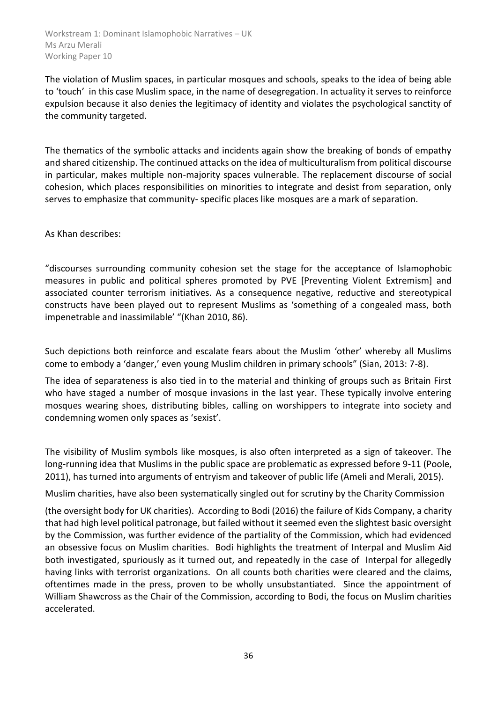The violation of Muslim spaces, in particular mosques and schools, speaks to the idea of being able to 'touch' in this case Muslim space, in the name of desegregation. In actuality it serves to reinforce expulsion because it also denies the legitimacy of identity and violates the psychological sanctity of the community targeted.

The thematics of the symbolic attacks and incidents again show the breaking of bonds of empathy and shared citizenship. The continued attacks on the idea of multiculturalism from political discourse in particular, makes multiple non-majority spaces vulnerable. The replacement discourse of social cohesion, which places responsibilities on minorities to integrate and desist from separation, only serves to emphasize that community- specific places like mosques are a mark of separation.

As Khan describes:

"discourses surrounding community cohesion set the stage for the acceptance of Islamophobic measures in public and political spheres promoted by PVE [Preventing Violent Extremism] and associated counter terrorism initiatives. As a consequence negative, reductive and stereotypical constructs have been played out to represent Muslims as 'something of a congealed mass, both impenetrable and inassimilable' "(Khan 2010, 86).

Such depictions both reinforce and escalate fears about the Muslim 'other' whereby all Muslims come to embody a 'danger,' even young Muslim children in primary schools" (Sian, 2013: 7-8).

The idea of separateness is also tied in to the material and thinking of groups such as Britain First who have staged a number of mosque invasions in the last year. These typically involve entering mosques wearing shoes, distributing bibles, calling on worshippers to integrate into society and condemning women only spaces as 'sexist'.

The visibility of Muslim symbols like mosques, is also often interpreted as a sign of takeover. The long-running idea that Muslims in the public space are problematic as expressed before 9-11 (Poole, 2011), has turned into arguments of entryism and takeover of public life (Ameli and Merali, 2015).

Muslim charities, have also been systematically singled out for scrutiny by the Charity Commission

(the oversight body for UK charities). According to Bodi (2016) the failure of Kids Company, a charity that had high level political patronage, but failed without it seemed even the slightest basic oversight by the Commission, was further evidence of the partiality of the Commission, which had evidenced an obsessive focus on Muslim charities. Bodi highlights the treatment of Interpal and Muslim Aid both investigated, spuriously as it turned out, and repeatedly in the case of Interpal for allegedly having links with terrorist organizations. On all counts both charities were cleared and the claims, oftentimes made in the press, proven to be wholly unsubstantiated. Since the appointment of William Shawcross as the Chair of the Commission, according to Bodi, the focus on Muslim charities accelerated.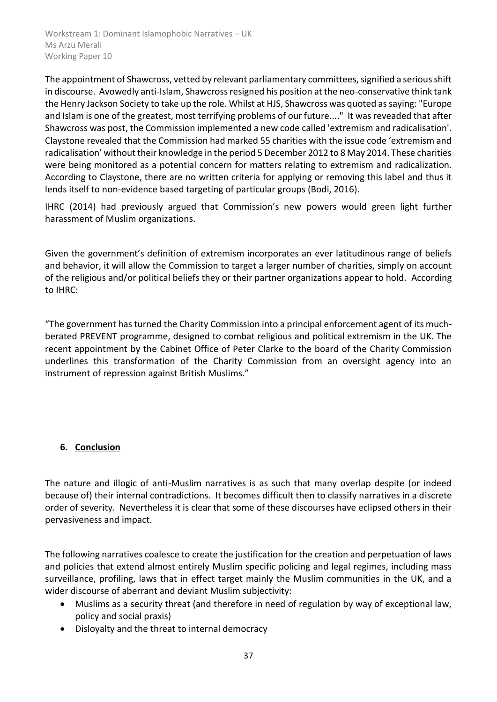The appointment of Shawcross, vetted by relevant parliamentary committees, signified a serious shift in discourse. Avowedly anti-Islam, Shawcross resigned his position at the neo-conservative think tank the Henry Jackson Society to take up the role. Whilst at HJS, Shawcross was quoted as saying: "Europe and Islam is one of the greatest, most terrifying problems of our future...." It was reveaded that after Shawcross was post, the Commission implemented a new code called 'extremism and radicalisation'. Claystone revealed that the Commission had marked 55 charities with the issue code 'extremism and radicalisation' without their knowledge in the period 5 December 2012 to 8 May 2014. These charities were being monitored as a potential concern for matters relating to extremism and radicalization. According to Claystone, there are no written criteria for applying or removing this label and thus it lends itself to non-evidence based targeting of particular groups (Bodi, 2016).

IHRC (2014) had previously argued that Commission's new powers would green light further harassment of Muslim organizations.

Given the government's definition of extremism incorporates an ever latitudinous range of beliefs and behavior, it will allow the Commission to target a larger number of charities, simply on account of the religious and/or political beliefs they or their partner organizations appear to hold. According to IHRC:

"The government has turned the Charity Commission into a principal enforcement agent of its muchberated PREVENT programme, designed to combat religious and political extremism in the UK. The recent appointment by the Cabinet Office of Peter Clarke to the board of the Charity Commission underlines this transformation of the Charity Commission from an oversight agency into an instrument of repression against British Muslims."

# <span id="page-36-0"></span>**6. Conclusion**

The nature and illogic of anti-Muslim narratives is as such that many overlap despite (or indeed because of) their internal contradictions. It becomes difficult then to classify narratives in a discrete order of severity. Nevertheless it is clear that some of these discourses have eclipsed others in their pervasiveness and impact.

The following narratives coalesce to create the justification for the creation and perpetuation of laws and policies that extend almost entirely Muslim specific policing and legal regimes, including mass surveillance, profiling, laws that in effect target mainly the Muslim communities in the UK, and a wider discourse of aberrant and deviant Muslim subjectivity:

- Muslims as a security threat (and therefore in need of regulation by way of exceptional law, policy and social praxis)
- Disloyalty and the threat to internal democracy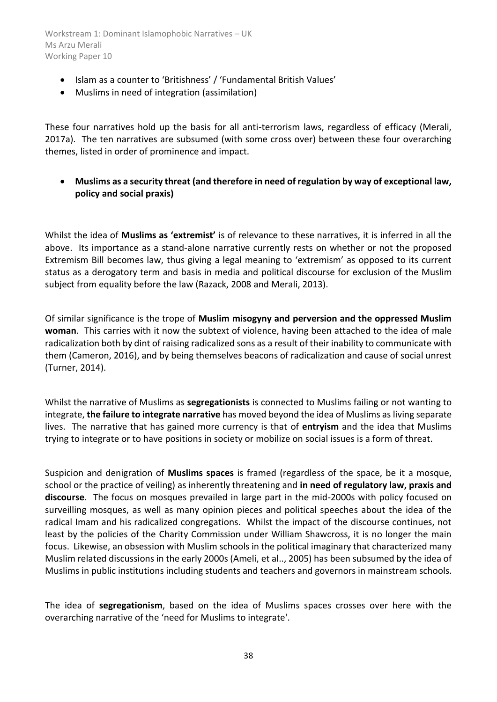- Islam as a counter to 'Britishness' / 'Fundamental British Values'
- Muslims in need of integration (assimilation)

These four narratives hold up the basis for all anti-terrorism laws, regardless of efficacy (Merali, 2017a). The ten narratives are subsumed (with some cross over) between these four overarching themes, listed in order of prominence and impact.

 **Muslims as a security threat (and therefore in need of regulation by way of exceptional law, policy and social praxis)**

Whilst the idea of **Muslims as 'extremist'** is of relevance to these narratives, it is inferred in all the above. Its importance as a stand-alone narrative currently rests on whether or not the proposed Extremism Bill becomes law, thus giving a legal meaning to 'extremism' as opposed to its current status as a derogatory term and basis in media and political discourse for exclusion of the Muslim subject from equality before the law (Razack, 2008 and Merali, 2013).

Of similar significance is the trope of **Muslim misogyny and perversion and the oppressed Muslim woman**. This carries with it now the subtext of violence, having been attached to the idea of male radicalization both by dint of raising radicalized sons as a result of their inability to communicate with them (Cameron, 2016), and by being themselves beacons of radicalization and cause of social unrest (Turner, 2014).

Whilst the narrative of Muslims as **segregationists** is connected to Muslims failing or not wanting to integrate, **the failure to integrate narrative** has moved beyond the idea of Muslims as living separate lives. The narrative that has gained more currency is that of **entryism** and the idea that Muslims trying to integrate or to have positions in society or mobilize on social issues is a form of threat.

Suspicion and denigration of **Muslims spaces** is framed (regardless of the space, be it a mosque, school or the practice of veiling) as inherently threatening and **in need of regulatory law, praxis and discourse**. The focus on mosques prevailed in large part in the mid-2000s with policy focused on surveilling mosques, as well as many opinion pieces and political speeches about the idea of the radical Imam and his radicalized congregations. Whilst the impact of the discourse continues, not least by the policies of the Charity Commission under William Shawcross, it is no longer the main focus. Likewise, an obsession with Muslim schools in the political imaginary that characterized many Muslim related discussions in the early 2000s (Ameli, et al.., 2005) has been subsumed by the idea of Muslims in public institutions including students and teachers and governors in mainstream schools.

The idea of **segregationism**, based on the idea of Muslims spaces crosses over here with the overarching narrative of the 'need for Muslims to integrate'.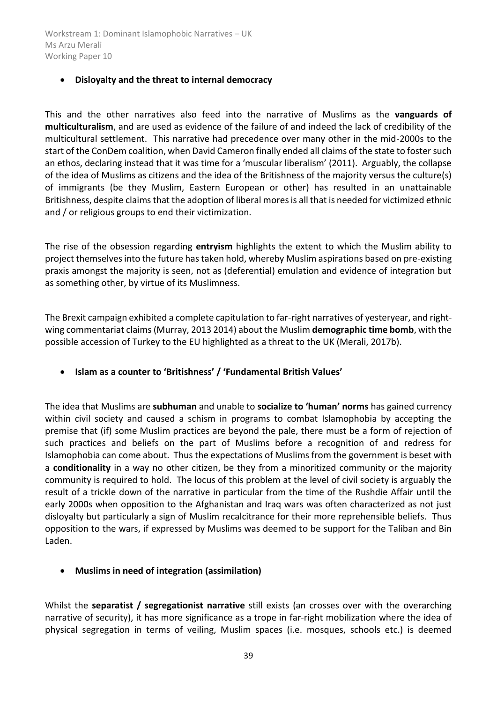#### **Disloyalty and the threat to internal democracy**

This and the other narratives also feed into the narrative of Muslims as the **vanguards of multiculturalism**, and are used as evidence of the failure of and indeed the lack of credibility of the multicultural settlement. This narrative had precedence over many other in the mid-2000s to the start of the ConDem coalition, when David Cameron finally ended all claims of the state to foster such an ethos, declaring instead that it was time for a 'muscular liberalism' (2011). Arguably, the collapse of the idea of Muslims as citizens and the idea of the Britishness of the majority versus the culture(s) of immigrants (be they Muslim, Eastern European or other) has resulted in an unattainable Britishness, despite claims that the adoption of liberal mores is all that is needed for victimized ethnic and / or religious groups to end their victimization.

The rise of the obsession regarding **entryism** highlights the extent to which the Muslim ability to project themselves into the future has taken hold, whereby Muslim aspirations based on pre-existing praxis amongst the majority is seen, not as (deferential) emulation and evidence of integration but as something other, by virtue of its Muslimness.

The Brexit campaign exhibited a complete capitulation to far-right narratives of yesteryear, and rightwing commentariat claims (Murray, 2013 2014) about the Muslim **demographic time bomb**, with the possible accession of Turkey to the EU highlighted as a threat to the UK (Merali, 2017b).

**Islam as a counter to 'Britishness' / 'Fundamental British Values'**

The idea that Muslims are **subhuman** and unable to **socialize to 'human' norms** has gained currency within civil society and caused a schism in programs to combat Islamophobia by accepting the premise that (if) some Muslim practices are beyond the pale, there must be a form of rejection of such practices and beliefs on the part of Muslims before a recognition of and redress for Islamophobia can come about. Thus the expectations of Muslims from the government is beset with a **conditionality** in a way no other citizen, be they from a minoritized community or the majority community is required to hold. The locus of this problem at the level of civil society is arguably the result of a trickle down of the narrative in particular from the time of the Rushdie Affair until the early 2000s when opposition to the Afghanistan and Iraq wars was often characterized as not just disloyalty but particularly a sign of Muslim recalcitrance for their more reprehensible beliefs. Thus opposition to the wars, if expressed by Muslims was deemed to be support for the Taliban and Bin Laden.

**Muslims in need of integration (assimilation)** 

Whilst the **separatist / segregationist narrative** still exists (an crosses over with the overarching narrative of security), it has more significance as a trope in far-right mobilization where the idea of physical segregation in terms of veiling, Muslim spaces (i.e. mosques, schools etc.) is deemed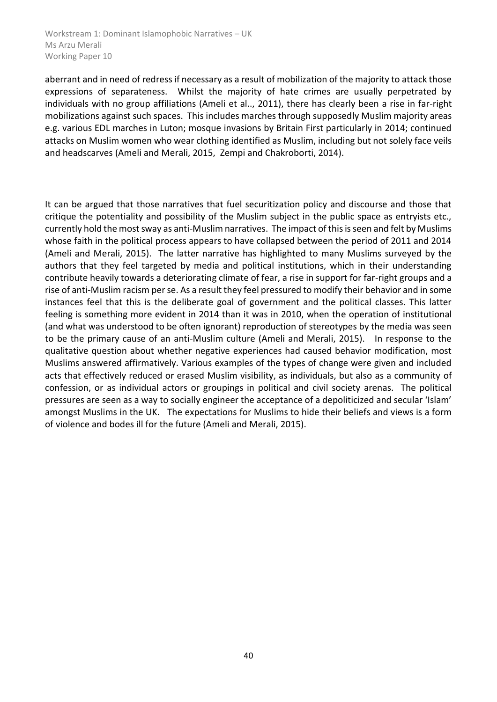aberrant and in need of redress if necessary as a result of mobilization of the majority to attack those expressions of separateness. Whilst the majority of hate crimes are usually perpetrated by individuals with no group affiliations (Ameli et al.., 2011), there has clearly been a rise in far-right mobilizations against such spaces. This includes marches through supposedly Muslim majority areas e.g. various EDL marches in Luton; mosque invasions by Britain First particularly in 2014; continued attacks on Muslim women who wear clothing identified as Muslim, including but not solely face veils and headscarves (Ameli and Merali, 2015, Zempi and Chakroborti, 2014).

It can be argued that those narratives that fuel securitization policy and discourse and those that critique the potentiality and possibility of the Muslim subject in the public space as entryists etc., currently hold the most sway as anti-Muslim narratives. The impact of this is seen and felt by Muslims whose faith in the political process appears to have collapsed between the period of 2011 and 2014 (Ameli and Merali, 2015). The latter narrative has highlighted to many Muslims surveyed by the authors that they feel targeted by media and political institutions, which in their understanding contribute heavily towards a deteriorating climate of fear, a rise in support for far-right groups and a rise of anti-Muslim racism per se. As a result they feel pressured to modify their behavior and in some instances feel that this is the deliberate goal of government and the political classes. This latter feeling is something more evident in 2014 than it was in 2010, when the operation of institutional (and what was understood to be often ignorant) reproduction of stereotypes by the media was seen to be the primary cause of an anti-Muslim culture (Ameli and Merali, 2015). In response to the qualitative question about whether negative experiences had caused behavior modification, most Muslims answered affirmatively. Various examples of the types of change were given and included acts that effectively reduced or erased Muslim visibility, as individuals, but also as a community of confession, or as individual actors or groupings in political and civil society arenas. The political pressures are seen as a way to socially engineer the acceptance of a depoliticized and secular 'Islam' amongst Muslims in the UK. The expectations for Muslims to hide their beliefs and views is a form of violence and bodes ill for the future (Ameli and Merali, 2015).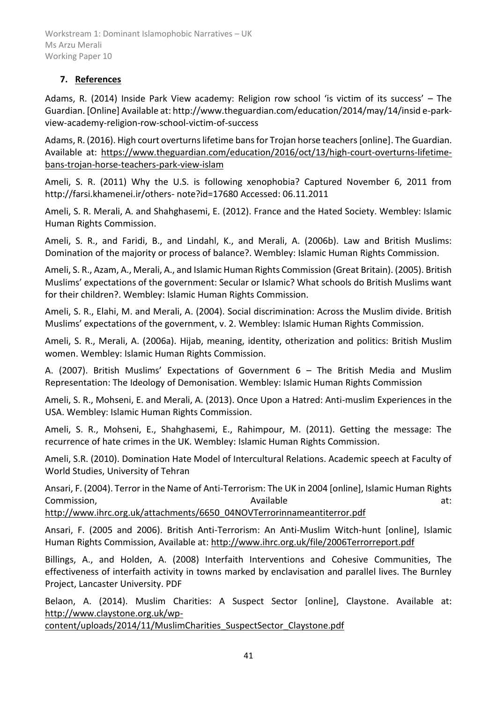# <span id="page-40-0"></span>**7. References**

Adams, R. (2014) Inside Park View academy: Religion row school 'is victim of its success' – The Guardian. [Online] Available at: http://www.theguardian.com/education/2014/may/14/insid e-parkview-academy-religion-row-school-victim-of-success

Adams, R. (2016). High court overturns lifetime bans for Trojan horse teachers [online]. The Guardian. Available at: [https://www.theguardian.com/education/2016/oct/13/high-court-overturns-lifetime](https://www.theguardian.com/education/2016/oct/13/high-court-overturns-lifetime-bans-trojan-horse-teachers-park-view-islam)[bans-trojan-horse-teachers-park-view-islam](https://www.theguardian.com/education/2016/oct/13/high-court-overturns-lifetime-bans-trojan-horse-teachers-park-view-islam)

Ameli, S. R. (2011) Why the U.S. is following xenophobia? Captured November 6, 2011 from http://farsi.khamenei.ir/others- note?id=17680 Accessed: 06.11.2011

Ameli, S. R. Merali, A. and Shahghasemi, E. (2012). France and the Hated Society. Wembley: Islamic Human Rights Commission.

Ameli, S. R., and Faridi, B., and Lindahl, K., and Merali, A. (2006b). Law and British Muslims: Domination of the majority or process of balance?. Wembley: Islamic Human Rights Commission.

Ameli, S. R., Azam, A., Merali, A., and Islamic Human Rights Commission (Great Britain). (2005). British Muslims' expectations of the government: Secular or Islamic? What schools do British Muslims want for their children?. Wembley: Islamic Human Rights Commission.

Ameli, S. R., Elahi, M. and Merali, A. (2004). Social discrimination: Across the Muslim divide. British Muslims' expectations of the government, v. 2. Wembley: Islamic Human Rights Commission.

Ameli, S. R., Merali, A. (2006a). Hijab, meaning, identity, otherization and politics: British Muslim women. Wembley: Islamic Human Rights Commission.

A. (2007). British Muslims' Expectations of Government 6 – The British Media and Muslim Representation: The Ideology of Demonisation. Wembley: Islamic Human Rights Commission

Ameli, S. R., Mohseni, E. and Merali, A. (2013). Once Upon a Hatred: Anti-muslim Experiences in the USA. Wembley: Islamic Human Rights Commission.

Ameli, S. R., Mohseni, E., Shahghasemi, E., Rahimpour, M. (2011). Getting the message: The recurrence of hate crimes in the UK. Wembley: Islamic Human Rights Commission.

Ameli, S.R. (2010). Domination Hate Model of Intercultural Relations. Academic speech at Faculty of World Studies, University of Tehran

Ansari, F. (2004). Terror in the Name of Anti-Terrorism: The UK in 2004 [online], Islamic Human Rights Commission, and a state at the commission, and a state at a state at a state at a state at a state at a state at a state at a state at a state at a state at a state at a state at a state at a state at a state at a state at

[http://www.ihrc.org.uk/attachments/6650\\_04NOVTerrorinnameantiterror.pdf](http://www.ihrc.org.uk/attachments/6650_04NOVTerrorinnameantiterror.pdf)

Ansari, F. (2005 and 2006). British Anti-Terrorism: An Anti-Muslim Witch-hunt [online], Islamic Human Rights Commission, Available at[: http://www.ihrc.org.uk/file/2006Terrorreport.pdf](http://www.ihrc.org.uk/file/2006Terrorreport.pdf)

Billings, A., and Holden, A. (2008) Interfaith Interventions and Cohesive Communities, The effectiveness of interfaith activity in towns marked by enclavisation and parallel lives. The Burnley Project, Lancaster University. PDF

Belaon, A. (2014). Muslim Charities: A Suspect Sector [online], Claystone. Available at: [http://www.claystone.org.uk/wp-](http://www.claystone.org.uk/wp-content/uploads/2014/11/MuslimCharities_SuspectSector_Claystone.pdf)

[content/uploads/2014/11/MuslimCharities\\_SuspectSector\\_Claystone.pdf](http://www.claystone.org.uk/wp-content/uploads/2014/11/MuslimCharities_SuspectSector_Claystone.pdf)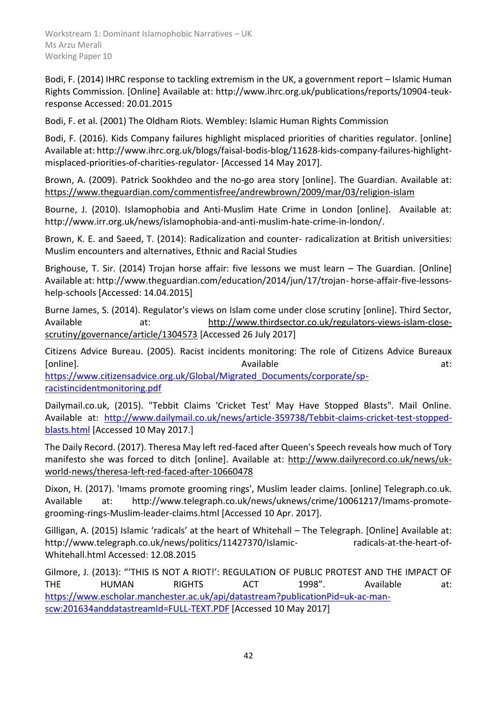Bodi, F. (2014) IHRC response to tackling extremism in the UK, a government report – Islamic Human Rights Commission. [Online] Available at: http://www.ihrc.org.uk/publications/reports/10904-teukresponse Accessed: 20.01.2015

Bodi, F. et al. (2001) The Oldham Riots. Wembley: Islamic Human Rights Commission

Bodi, F. (2016). Kids Company failures highlight misplaced priorities of charities regulator. [online] Available at: http://www.ihrc.org.uk/blogs/faisal-bodis-blog/11628-kids-company-failures-highlightmisplaced-priorities-of-charities-regulator- [Accessed 14 May 2017].

Brown, A. (2009). Patrick Sookhdeo and the no-go area story [online]. The Guardian. Available at: <https://www.theguardian.com/commentisfree/andrewbrown/2009/mar/03/religion-islam>

Bourne, J. (2010). Islamophobia and Anti-Muslim Hate Crime in London [online]. Available at: http://www.irr.org.uk/news/islamophobia-and-anti-muslim-hate-crime-in-london/.

Brown, K. E. and Saeed, T. (2014): Radicalization and counter- radicalization at British universities: Muslim encounters and alternatives, Ethnic and Racial Studies

Brighouse, T. Sir. (2014) Trojan horse affair: five lessons we must learn - The Guardian. [Online] Available at: http://www.theguardian.com/education/2014/jun/17/trojan- horse-affair-five-lessonshelp-schools [Accessed: 14.04.2015]

Burne James, S. (2014). Regulator's views on Islam come under close scrutiny [online]. Third Sector, Available at: [http://www.thirdsector.co.uk/regulators-views-islam-close](http://www.thirdsector.co.uk/regulators-views-islam-close-scrutiny/governance/article/1304573)[scrutiny/governance/article/1304573](http://www.thirdsector.co.uk/regulators-views-islam-close-scrutiny/governance/article/1304573) [Accessed 26 July 2017]

Citizens Advice Bureau. (2005). Racist incidents monitoring: The role of Citizens Advice Bureaux [online]. The according of the contract of the Available contract at: at: at:

[https://www.citizensadvice.org.uk/Global/Migrated\\_Documents/corporate/sp](https://www.citizensadvice.org.uk/Global/Migrated_Documents/corporate/sp-racistincidentmonitoring.pdf)[racistincidentmonitoring.pdf](https://www.citizensadvice.org.uk/Global/Migrated_Documents/corporate/sp-racistincidentmonitoring.pdf)

Dailymail.co.uk, (2015). "Tebbit Claims 'Cricket Test' May Have Stopped Blasts". Mail Online. Available at: [http://www.dailymail.co.uk/news/article-359738/Tebbit-claims-cricket-test-stopped](http://www.dailymail.co.uk/news/article-359738/Tebbit-claims-cricket-test-stopped-blasts.html)[blasts.html](http://www.dailymail.co.uk/news/article-359738/Tebbit-claims-cricket-test-stopped-blasts.html) [Accessed 10 May 2017.]

The Daily Record. (2017). Theresa May left red-faced after Queen's Speech reveals how much of Tory manifesto she was forced to ditch [online]. Available at: [http://www.dailyrecord.co.uk/news/uk](http://www.dailyrecord.co.uk/news/uk-world-news/theresa-left-red-faced-after-10660478)[world-news/theresa-left-red-faced-after-10660478](http://www.dailyrecord.co.uk/news/uk-world-news/theresa-left-red-faced-after-10660478)

Dixon, H. (2017). 'Imams promote grooming rings', Muslim leader claims. [online] Telegraph.co.uk. Available at: http://www.telegraph.co.uk/news/uknews/crime/10061217/Imams-promotegrooming-rings-Muslim-leader-claims.html [Accessed 10 Apr. 2017].

Gilligan, A. (2015) Islamic 'radicals' at the heart of Whitehall – The Telegraph. [Online] Available at: http://www.telegraph.co.uk/news/politics/11427370/Islamic- radicals-at-the-heart-of-Whitehall.html Accessed: 12.08.2015

Gilmore, J. (2013): "'THIS IS NOT A RIOT!': REGULATION OF PUBLIC PROTEST AND THE IMPACT OF THE HUMAN RIGHTS ACT 1998". Available at: [https://www.escholar.manchester.ac.uk/api/datastream?publicationPid=uk-ac-man](https://www.escholar.manchester.ac.uk/api/datastream?publicationPid=uk-ac-man-scw:201634&datastreamId=FULL-TEXT.PDF)[scw:201634anddatastreamId=FULL-TEXT.PDF](https://www.escholar.manchester.ac.uk/api/datastream?publicationPid=uk-ac-man-scw:201634&datastreamId=FULL-TEXT.PDF) [Accessed 10 May 2017]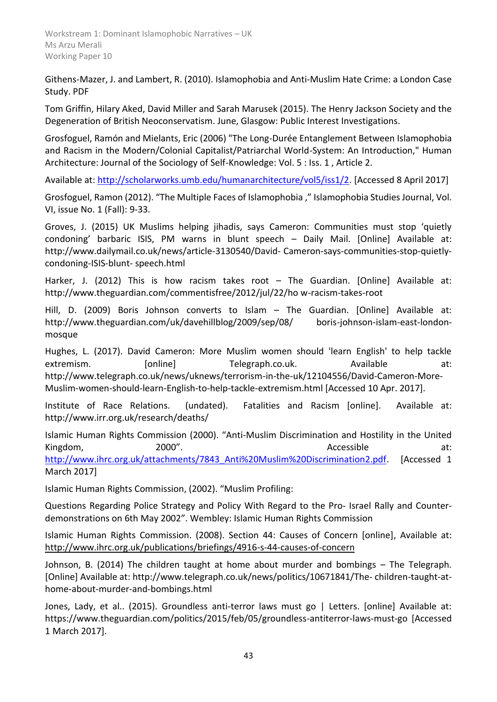Githens-Mazer, J. and Lambert, R. (2010). Islamophobia and Anti-Muslim Hate Crime: a London Case Study. PDF

Tom Griffin, Hilary Aked, David Miller and Sarah Marusek (2015). [The Henry Jackson Society and the](http://www.spinwatch.org/images/Reports/HJS_spinwatch%20report_web_2015.pdf)  [Degeneration of British Neoconservatism.](http://www.spinwatch.org/images/Reports/HJS_spinwatch%20report_web_2015.pdf) June, Glasgow: Public Interest Investigations.

Grosfoguel, Ramón and Mielants, Eric (2006) "The Long-Durée Entanglement Between Islamophobia and Racism in the Modern/Colonial Capitalist/Patriarchal World-System: An Introduction," Human Architecture: Journal of the Sociology of Self-Knowledge: Vol. 5 : Iss. 1 , Article 2.

Available at: [http://scholarworks.umb.edu/humanarchitecture/vol5/iss1/2.](http://scholarworks.umb.edu/humanarchitecture/vol5/iss1/2) [Accessed 8 April 2017]

Grosfoguel, Ramon (2012). "The Multiple Faces of Islamophobia ," Islamophobia Studies Journal, Vol. VI, issue No. 1 (Fall): 9-33.

Groves, J. (2015) UK Muslims helping jihadis, says Cameron: Communities must stop 'quietly condoning' barbaric ISIS, PM warns in blunt speech – Daily Mail. [Online] Available at: http://www.dailymail.co.uk/news/article-3130540/David- Cameron-says-communities-stop-quietlycondoning-ISIS-blunt- speech.html

Harker, J. (2012) This is how racism takes root - The Guardian. [Online] Available at: http://www.theguardian.com/commentisfree/2012/jul/22/ho w-racism-takes-root

Hill, D. (2009) Boris Johnson converts to Islam – The Guardian. [Online] Available at: http://www.theguardian.com/uk/davehillblog/2009/sep/08/ boris-johnson-islam-east-londonmosque

Hughes, L. (2017). David Cameron: More Muslim women should 'learn English' to help tackle extremism. [online] Telegraph.co.uk. Available at: http://www.telegraph.co.uk/news/uknews/terrorism-in-the-uk/12104556/David-Cameron-More-Muslim-women-should-learn-English-to-help-tackle-extremism.html [Accessed 10 Apr. 2017].

Institute of Race Relations. (undated). Fatalities and Racism [online]. Available at: http://www.irr.org.uk/research/deaths/

Islamic Human Rights Commission (2000). "Anti-Muslim Discrimination and Hostility in the United Kingdom, 2000". Accessible at: [http://www.ihrc.org.uk/attachments/7843\\_Anti%20Muslim%20Discrimination2.pdf.](http://www.ihrc.org.uk/attachments/7843_Anti%20Muslim%20Discrimination2.pdf) [Accessed 1 March 2017]

Islamic Human Rights Commission, (2002). "Muslim Profiling:

Questions Regarding Police Strategy and Policy With Regard to the Pro- Israel Rally and Counterdemonstrations on 6th May 2002". Wembley: Islamic Human Rights Commission

Islamic Human Rights Commission. (2008). Section 44: Causes of Concern [online], Available at: <http://www.ihrc.org.uk/publications/briefings/4916-s-44-causes-of-concern>

Johnson, B. (2014) The children taught at home about murder and bombings – The Telegraph. [Online] Available at: http://www.telegraph.co.uk/news/politics/10671841/The- children-taught-athome-about-murder-and-bombings.html

Jones, Lady, et al.. (2015). Groundless anti-terror laws must go | Letters. [online] Available at: https://www.theguardian.com/politics/2015/feb/05/groundless-antiterror-laws-must-go [Accessed 1 March 2017].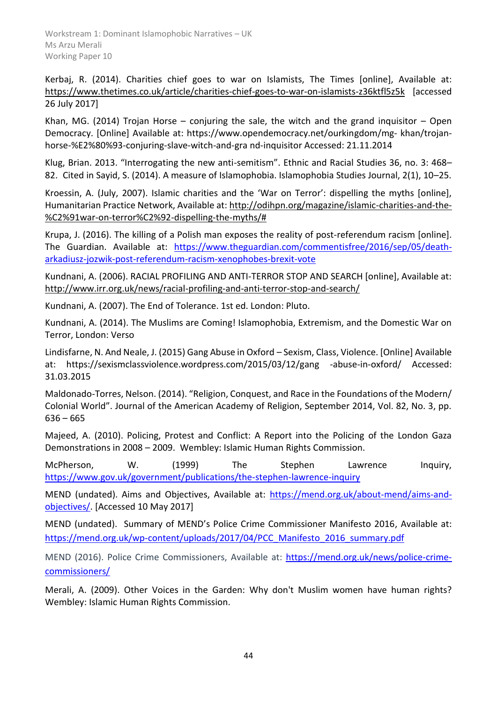Kerbaj, R. (2014). Charities chief goes to war on Islamists, The Times [online], Available at: <https://www.thetimes.co.uk/article/charities-chief-goes-to-war-on-islamists-z36ktfl5z5k> [accessed 26 July 2017]

Khan, MG. (2014) Trojan Horse – conjuring the sale, the witch and the grand inquisitor – Open Democracy. [Online] Available at: https://www.opendemocracy.net/ourkingdom/mg- khan/trojanhorse-%E2%80%93-conjuring-slave-witch-and-gra nd-inquisitor Accessed: 21.11.2014

Klug, Brian. 2013. "Interrogating the new anti-semitism". Ethnic and Racial Studies 36, no. 3: 468– 82. Cited in Sayid, S. (2014). A measure of Islamophobia. Islamophobia Studies Journal, 2(1), 10–25.

Kroessin, A. (July, 2007). Islamic charities and the 'War on Terror': dispelling the myths [online], Humanitarian Practice Network, Available at[: http://odihpn.org/magazine/islamic-charities-and-the-](http://odihpn.org/magazine/islamic-charities-and-the-%C2%91war-on-terror%C2%92-dispelling-the-myths/) [%C2%91war-on-terror%C2%92-dispelling-the-myths/#](http://odihpn.org/magazine/islamic-charities-and-the-%C2%91war-on-terror%C2%92-dispelling-the-myths/)

Krupa, J. (2016). The killing of a Polish man exposes the reality of post-referendum racism [online]. The Guardian. Available at: [https://www.theguardian.com/commentisfree/2016/sep/05/death](https://www.theguardian.com/commentisfree/2016/sep/05/death-arkadiusz-jozwik-post-referendum-racism-xenophobes-brexit-vote)[arkadiusz-jozwik-post-referendum-racism-xenophobes-brexit-vote](https://www.theguardian.com/commentisfree/2016/sep/05/death-arkadiusz-jozwik-post-referendum-racism-xenophobes-brexit-vote)

Kundnani, A. (2006). RACIAL PROFILING AND ANTI-TERROR STOP AND SEARCH [online], Available at: <http://www.irr.org.uk/news/racial-profiling-and-anti-terror-stop-and-search/>

Kundnani, A. (2007). The End of Tolerance. 1st ed. London: Pluto.

Kundnani, A. (2014). The Muslims are Coming! Islamophobia, Extremism, and the Domestic War on Terror, London: Verso

Lindisfarne, N. And Neale, J. (2015) Gang Abuse in Oxford – Sexism, Class, Violence. [Online] Available at: https://sexismclassviolence.wordpress.com/2015/03/12/gang -abuse-in-oxford/ Accessed: 31.03.2015

Maldonado-Torres, Nelson. (2014). "Religion, Conquest, and Race in the Foundations of the Modern/ Colonial World". Journal of the American Academy of Religion, September 2014, Vol. 82, No. 3, pp.  $636 - 665$ 

Majeed, A. (2010). Policing, Protest and Conflict: A Report into the Policing of the London Gaza Demonstrations in 2008 – 2009. Wembley: Islamic Human Rights Commission.

McPherson, W. (1999) The Stephen Lawrence Inquiry, <https://www.gov.uk/government/publications/the-stephen-lawrence-inquiry>

MEND (undated). Aims and Objectives, Available at: [https://mend.org.uk/about-mend/aims-and](https://mend.org.uk/about-mend/aims-and-objectives/)[objectives/.](https://mend.org.uk/about-mend/aims-and-objectives/) [Accessed 10 May 2017]

MEND (undated). Summary of MEND's Police Crime Commissioner Manifesto 2016, Available at: [https://mend.org.uk/wp-content/uploads/2017/04/PCC\\_Manifesto\\_2016\\_summary.pdf](https://mend.org.uk/wp-content/uploads/2017/04/PCC_Manifesto_2016_summary.pdf)

MEND (2016). Police Crime Commissioners, Available at: [https://mend.org.uk/news/police-crime](https://mend.org.uk/news/police-crime-commissioners/)[commissioners/](https://mend.org.uk/news/police-crime-commissioners/)

Merali, A. (2009). Other Voices in the Garden: Why don't Muslim women have human rights? Wembley: Islamic Human Rights Commission.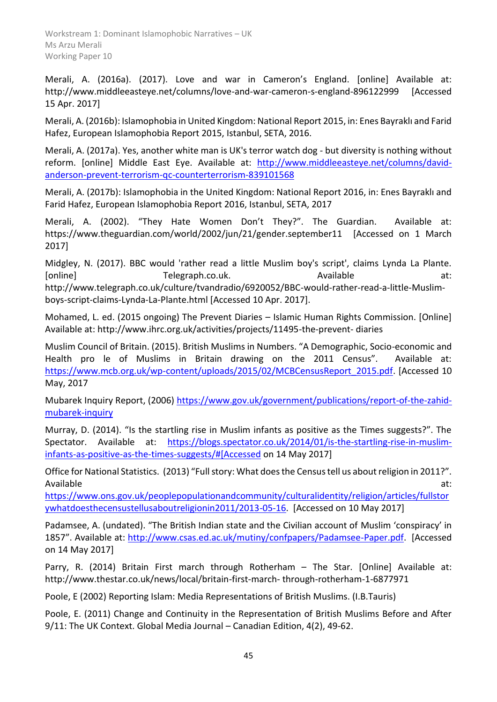Merali, A. (2016a). (2017). Love and war in Cameron's England. [online] Available at: http://www.middleeasteye.net/columns/love-and-war-cameron-s-england-896122999 [Accessed 15 Apr. 2017]

Merali, A. (2016b): Islamophobia in United Kingdom: National Report 2015, in: Enes Bayraklı and Farid Hafez, European Islamophobia Report 2015, Istanbul, SETA, 2016.

Merali, A. (2017a). Yes, another white man is UK's terror watch dog - but diversity is nothing without reform. [online] Middle East Eye. Available at: [http://www.middleeasteye.net/columns/david](http://www.middleeasteye.net/columns/david-anderson-prevent-terrorism-qc-counterterrorism-839101568)[anderson-prevent-terrorism-qc-counterterrorism-839101568](http://www.middleeasteye.net/columns/david-anderson-prevent-terrorism-qc-counterterrorism-839101568)

Merali, A. (2017b): Islamophobia in the United Kingdom: National Report 2016, in: Enes Bayraklı and Farid Hafez, European Islamophobia Report 2016, Istanbul, SETA, 2017

Merali, A. (2002). "They Hate Women Don't They?". The Guardian. Available at: https://www.theguardian.com/world/2002/jun/21/gender.september11 [Accessed on 1 March 2017]

Midgley, N. (2017). BBC would 'rather read a little Muslim boy's script', claims Lynda La Plante. [online] Telegraph.co.uk. Available at:

http://www.telegraph.co.uk/culture/tvandradio/6920052/BBC-would-rather-read-a-little-Muslimboys-script-claims-Lynda-La-Plante.html [Accessed 10 Apr. 2017].

Mohamed, L. ed. (2015 ongoing) The Prevent Diaries – Islamic Human Rights Commission. [Online] Available at: http://www.ihrc.org.uk/activities/projects/11495-the-prevent- diaries

Muslim Council of Britain. (2015). British Muslims in Numbers. "A Demographic, Socio-economic and Health pro le of Muslims in Britain drawing on the 2011 Census". Available at: [https://www.mcb.org.uk/wp-content/uploads/2015/02/MCBCensusReport\\_2015.pdf.](https://www.mcb.org.uk/wp-content/uploads/2015/02/MCBCensusReport_2015.pdf) [Accessed 10 May, 2017

Mubarek Inquiry Report, (2006) [https://www.gov.uk/government/publications/report-of-the-zahid](https://www.gov.uk/government/publications/report-of-the-zahid-mubarek-inquiry)[mubarek-inquiry](https://www.gov.uk/government/publications/report-of-the-zahid-mubarek-inquiry)

Murray, D. (2014). "Is the startling rise in Muslim infants as positive as the Times suggests?". The Spectator. Available at: [https://blogs.spectator.co.uk/2014/01/is-the-startling-rise-in-muslim](https://blogs.spectator.co.uk/2014/01/is-the-startling-rise-in-muslim-infants-as-positive-as-the-times-suggests/#[Accessed)[infants-as-positive-as-the-times-suggests/#\[Accessed](https://blogs.spectator.co.uk/2014/01/is-the-startling-rise-in-muslim-infants-as-positive-as-the-times-suggests/#[Accessed) on 14 May 2017]

Office for National Statistics. (2013) "Full story: What does the Census tell us about religion in 2011?". Available at:

[https://www.ons.gov.uk/peoplepopulationandcommunity/culturalidentity/religion/articles/fullstor](https://www.ons.gov.uk/peoplepopulationandcommunity/culturalidentity/religion/articles/fullstorywhatdoesthecensustellusaboutreligionin2011/2013-05-16) [ywhatdoesthecensustellusaboutreligionin2011/2013-05-16.](https://www.ons.gov.uk/peoplepopulationandcommunity/culturalidentity/religion/articles/fullstorywhatdoesthecensustellusaboutreligionin2011/2013-05-16) [Accessed on 10 May 2017]

Padamsee, A. (undated). "The British Indian state and the Civilian account of Muslim 'conspiracy' in 1857". Available at: [http://www.csas.ed.ac.uk/mutiny/confpapers/Padamsee-Paper.pdf.](http://www.csas.ed.ac.uk/mutiny/confpapers/Padamsee-Paper.pdf) [Accessed on 14 May 2017]

Parry, R. (2014) Britain First march through Rotherham – The Star. [Online] Available at: http://www.thestar.co.uk/news/local/britain-first-march- through-rotherham-1-6877971

Poole, E (2002) Reporting Islam: Media Representations of British Muslims. (I.B.Tauris)

Poole, E. (2011) Change and Continuity in the Representation of British Muslims Before and After 9/11: The UK Context. Global Media Journal – Canadian Edition, 4(2), 49-62.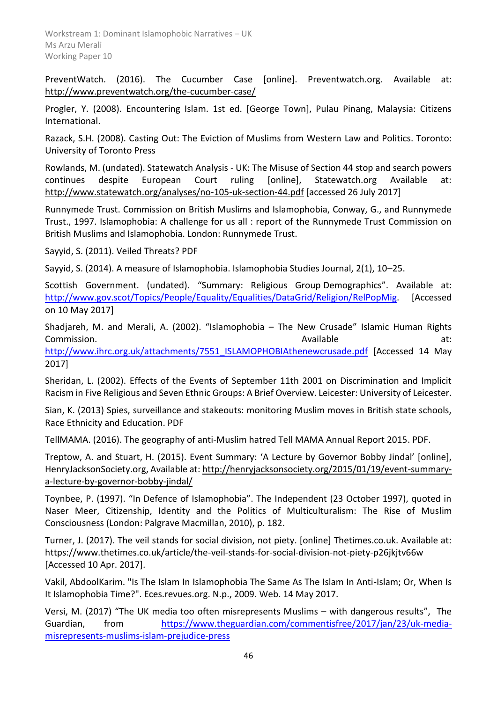PreventWatch. (2016). The Cucumber Case [online]. Preventwatch.org. Available at: <http://www.preventwatch.org/the-cucumber-case/>

Progler, Y. (2008). Encountering Islam. 1st ed. [George Town], Pulau Pinang, Malaysia: Citizens International.

Razack, S.H. (2008). Casting Out: The Eviction of Muslims from Western Law and Politics. Toronto: University of Toronto Press

Rowlands, M. (undated). Statewatch Analysis - UK: The Misuse of Section 44 stop and search powers continues despite European Court ruling [online], Statewatch.org Available at: <http://www.statewatch.org/analyses/no-105-uk-section-44.pdf> [accessed 26 July 2017]

Runnymede Trust. Commission on British Muslims and Islamophobia, Conway, G., and Runnymede Trust., 1997. Islamophobia: A challenge for us all : report of the Runnymede Trust Commission on British Muslims and Islamophobia. London: Runnymede Trust.

Sayyid, S. (2011). Veiled Threats? PDF

Sayyid, S. (2014). A measure of Islamophobia. Islamophobia Studies Journal, 2(1), 10–25.

Scottish Government. (undated). "Summary: Religious Group Demographics". Available at: [http://www.gov.scot/Topics/People/Equality/Equalities/DataGrid/Religion/RelPopMig.](http://www.gov.scot/Topics/People/Equality/Equalities/DataGrid/Religion/RelPopMig) [Accessed on 10 May 2017]

Shadjareh, M. and Merali, A. (2002). "Islamophobia – The New Crusade" Islamic Human Rights Commission. Available at: [http://www.ihrc.org.uk/attachments/7551\\_ISLAMOPHOBIAthenewcrusade.pdf](http://www.ihrc.org.uk/attachments/7551_ISLAMOPHOBIAthenewcrusade.pdf) [Accessed 14 May 2017]

Sheridan, L. (2002). Effects of the Events of September 11th 2001 on Discrimination and Implicit Racism in Five Religious and Seven Ethnic Groups: A Brief Overview. Leicester: University of Leicester.

Sian, K. (2013) Spies, surveillance and stakeouts: monitoring Muslim moves in British state schools, Race Ethnicity and Education. PDF

TellMAMA. (2016). The geography of anti-Muslim hatred Tell MAMA Annual Report 2015. PDF.

Treptow, A. and Stuart, H. (2015). Event Summary: 'A Lecture by Governor Bobby Jindal' [online], HenryJacksonSociety.org, Available at[: http://henryjacksonsociety.org/2015/01/19/event-summary](http://henryjacksonsociety.org/2015/01/19/event-summary-a-lecture-by-governor-bobby-jindal/)[a-lecture-by-governor-bobby-jindal/](http://henryjacksonsociety.org/2015/01/19/event-summary-a-lecture-by-governor-bobby-jindal/)

Toynbee, P. (1997). "In Defence of Islamophobia". The Independent (23 October 1997), quoted in Naser Meer, Citizenship, Identity and the Politics of Multiculturalism: The Rise of Muslim Consciousness (London: Palgrave Macmillan, 2010), p. 182.

Turner, J. (2017). The veil stands for social division, not piety. [online] Thetimes.co.uk. Available at: https://www.thetimes.co.uk/article/the-veil-stands-for-social-division-not-piety-p26jkjtv66w [Accessed 10 Apr. 2017].

Vakil, AbdoolKarim. "Is The Islam In Islamophobia The Same As The Islam In Anti-Islam; Or, When Is It Islamophobia Time?". Eces.revues.org. N.p., 2009. Web. 14 May 2017.

Versi, M. (2017) "The UK media too often misrepresents Muslims – with dangerous results", The Guardian, from [https://www.theguardian.com/commentisfree/2017/jan/23/uk-media](https://www.theguardian.com/commentisfree/2017/jan/23/uk-media-misrepresents-muslims-islam-prejudice-press)[misrepresents-muslims-islam-prejudice-press](https://www.theguardian.com/commentisfree/2017/jan/23/uk-media-misrepresents-muslims-islam-prejudice-press)